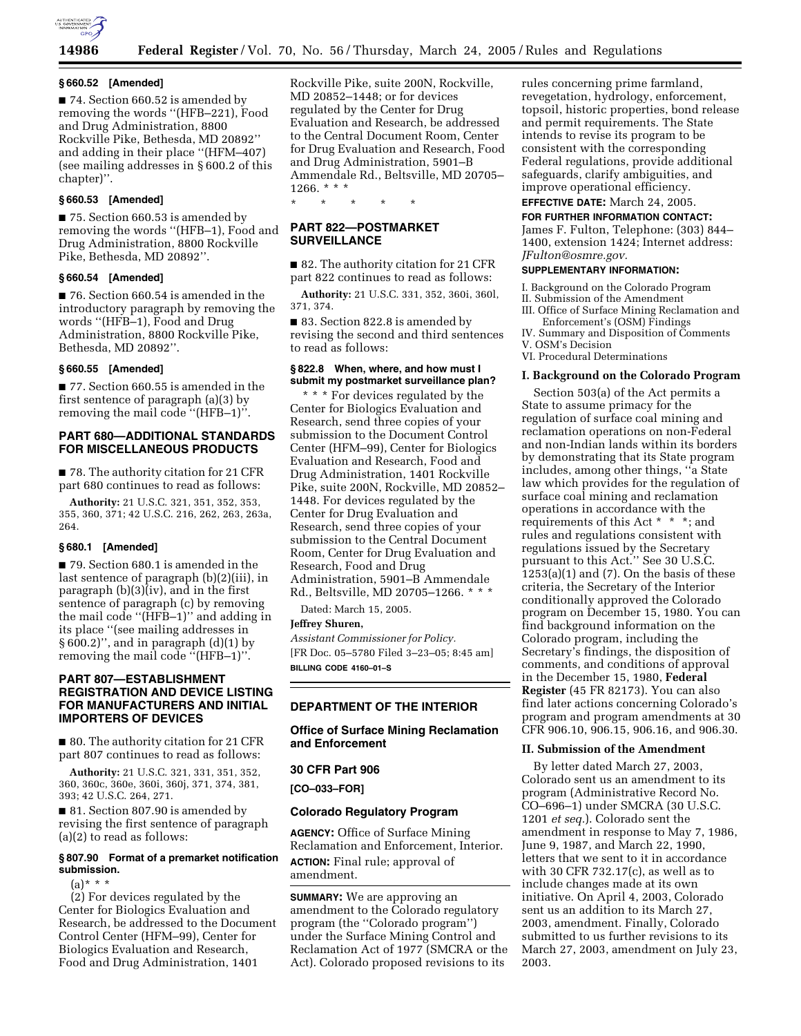

#### **§ 660.52 [Amended]**

■ 74. Section 660.52 is amended by removing the words ''(HFB–221), Food and Drug Administration, 8800 Rockville Pike, Bethesda, MD 20892'' and adding in their place ''(HFM–407) (see mailing addresses in § 600.2 of this chapter)''.

## **§ 660.53 [Amended]**

■ 75. Section 660.53 is amended by removing the words ''(HFB–1), Food and Drug Administration, 8800 Rockville Pike, Bethesda, MD 20892''.

## **§ 660.54 [Amended]**

■ 76. Section 660.54 is amended in the introductory paragraph by removing the words ''(HFB–1), Food and Drug Administration, 8800 Rockville Pike, Bethesda, MD 20892''.

## **§ 660.55 [Amended]**

■ 77. Section 660.55 is amended in the first sentence of paragraph (a)(3) by removing the mail code ''(HFB–1)''.

## **PART 680—ADDITIONAL STANDARDS FOR MISCELLANEOUS PRODUCTS**

■ 78. The authority citation for 21 CFR part 680 continues to read as follows:

**Authority:** 21 U.S.C. 321, 351, 352, 353, 355, 360, 371; 42 U.S.C. 216, 262, 263, 263a, 264.

#### **§ 680.1 [Amended]**

■ 79. Section 680.1 is amended in the last sentence of paragraph (b)(2)(iii), in paragraph  $(b)(3)$  $(iv)$ , and in the first sentence of paragraph (c) by removing the mail code ''(HFB–1)'' and adding in its place ''(see mailing addresses in § 600.2)'', and in paragraph (d)(1) by removing the mail code ''(HFB–1)''.

# **PART 807—ESTABLISHMENT REGISTRATION AND DEVICE LISTING FOR MANUFACTURERS AND INITIAL IMPORTERS OF DEVICES**

■ 80. The authority citation for 21 CFR part 807 continues to read as follows:

**Authority:** 21 U.S.C. 321, 331, 351, 352, 360, 360c, 360e, 360i, 360j, 371, 374, 381, 393; 42 U.S.C. 264, 271.

■ 81. Section 807.90 is amended by revising the first sentence of paragraph (a)(2) to read as follows:

#### **§ 807.90 Format of a premarket notification submission.**

 $(a) * * *$ 

(2) For devices regulated by the Center for Biologics Evaluation and Research, be addressed to the Document Control Center (HFM–99), Center for Biologics Evaluation and Research, Food and Drug Administration, 1401

Rockville Pike, suite 200N, Rockville, MD 20852–1448; or for devices regulated by the Center for Drug Evaluation and Research, be addressed to the Central Document Room, Center for Drug Evaluation and Research, Food and Drug Administration, 5901–B Ammendale Rd., Beltsville, MD 20705– 1266. \* \* \*

\* \* \* \* \*

## **PART 822—POSTMARKET SURVEILLANCE**

■ 82. The authority citation for 21 CFR part 822 continues to read as follows:

**Authority:** 21 U.S.C. 331, 352, 360i, 360l, 371, 374.

■ 83. Section 822.8 is amended by revising the second and third sentences to read as follows:

#### **§ 822.8 When, where, and how must I submit my postmarket surveillance plan?**

\* \* \* For devices regulated by the Center for Biologics Evaluation and Research, send three copies of your submission to the Document Control Center (HFM–99), Center for Biologics Evaluation and Research, Food and Drug Administration, 1401 Rockville Pike, suite 200N, Rockville, MD 20852– 1448. For devices regulated by the Center for Drug Evaluation and Research, send three copies of your submission to the Central Document Room, Center for Drug Evaluation and Research, Food and Drug Administration, 5901–B Ammendale Rd., Beltsville, MD 20705–1266. \* \* \*

Dated: March 15, 2005.

**Jeffrey Shuren,**

*Assistant Commissioner for Policy.* [FR Doc. 05–5780 Filed 3–23–05; 8:45 am] **BILLING CODE 4160–01–S**

# **DEPARTMENT OF THE INTERIOR**

## **Office of Surface Mining Reclamation and Enforcement**

# **30 CFR Part 906**

**[CO–033–FOR]** 

#### **Colorado Regulatory Program**

**AGENCY:** Office of Surface Mining Reclamation and Enforcement, Interior. **ACTION:** Final rule; approval of amendment.

**SUMMARY:** We are approving an amendment to the Colorado regulatory program (the ''Colorado program'') under the Surface Mining Control and Reclamation Act of 1977 (SMCRA or the Act). Colorado proposed revisions to its

rules concerning prime farmland, revegetation, hydrology, enforcement, topsoil, historic properties, bond release and permit requirements. The State intends to revise its program to be consistent with the corresponding Federal regulations, provide additional safeguards, clarify ambiguities, and improve operational efficiency.

# **EFFECTIVE DATE:** March 24, 2005.

**FOR FURTHER INFORMATION CONTACT:** James F. Fulton, Telephone: (303) 844– 1400, extension 1424; Internet address: *JFulton@osmre.gov.*

## **SUPPLEMENTARY INFORMATION:**

I. Background on the Colorado Program

- II. Submission of the Amendment
- III. Office of Surface Mining Reclamation and Enforcement's (OSM) Findings
- IV. Summary and Disposition of Comments V. OSM's Decision

VI. Procedural Determinations

#### **I. Background on the Colorado Program**

Section 503(a) of the Act permits a State to assume primacy for the regulation of surface coal mining and reclamation operations on non-Federal and non-Indian lands within its borders by demonstrating that its State program includes, among other things, ''a State law which provides for the regulation of surface coal mining and reclamation operations in accordance with the requirements of this Act \* \* \*; and rules and regulations consistent with regulations issued by the Secretary pursuant to this Act.'' See 30 U.S.C.  $1253(a)(1)$  and  $(7)$ . On the basis of these criteria, the Secretary of the Interior conditionally approved the Colorado program on December 15, 1980. You can find background information on the Colorado program, including the Secretary's findings, the disposition of comments, and conditions of approval in the December 15, 1980, **Federal Register** (45 FR 82173). You can also find later actions concerning Colorado's program and program amendments at 30 CFR 906.10, 906.15, 906.16, and 906.30.

## **II. Submission of the Amendment**

By letter dated March 27, 2003, Colorado sent us an amendment to its program (Administrative Record No. CO–696–1) under SMCRA (30 U.S.C. 1201 *et seq.*). Colorado sent the amendment in response to May 7, 1986, June 9, 1987, and March 22, 1990, letters that we sent to it in accordance with 30 CFR 732.17 $(c)$ , as well as to include changes made at its own initiative. On April 4, 2003, Colorado sent us an addition to its March 27, 2003, amendment. Finally, Colorado submitted to us further revisions to its March 27, 2003, amendment on July 23, 2003.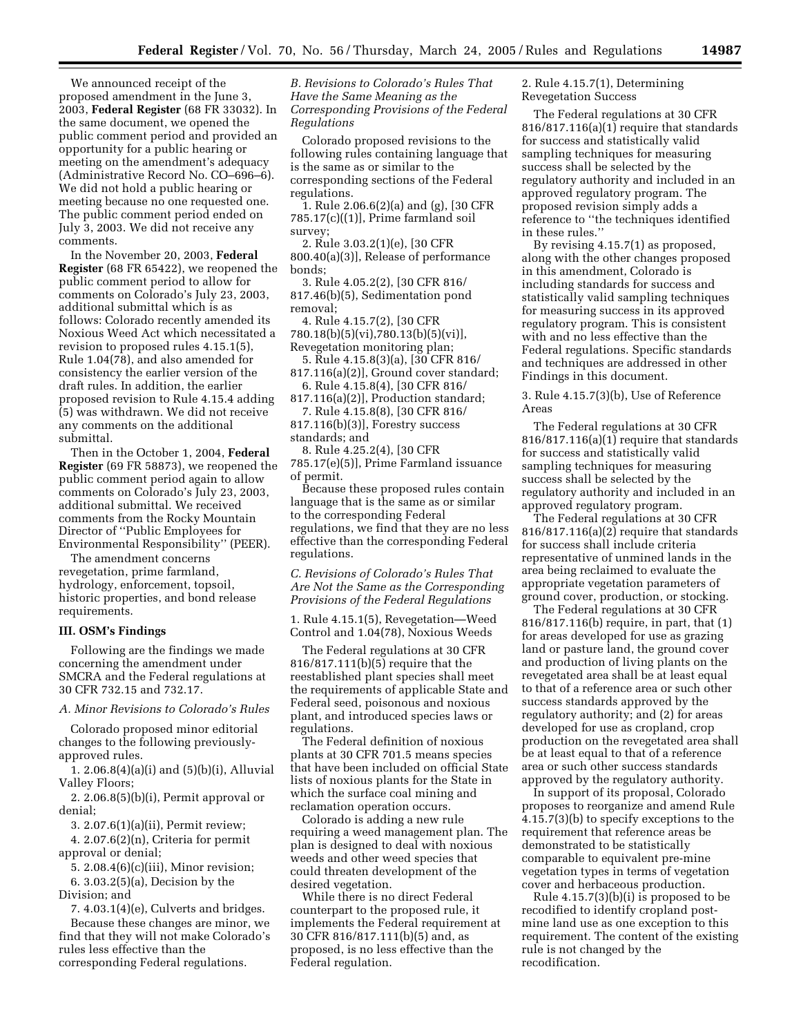We announced receipt of the proposed amendment in the June 3, 2003, **Federal Register** (68 FR 33032). In the same document, we opened the public comment period and provided an opportunity for a public hearing or meeting on the amendment's adequacy (Administrative Record No. CO–696–6). We did not hold a public hearing or meeting because no one requested one. The public comment period ended on July 3, 2003. We did not receive any comments.

In the November 20, 2003, **Federal Register** (68 FR 65422), we reopened the public comment period to allow for comments on Colorado's July 23, 2003, additional submittal which is as follows: Colorado recently amended its Noxious Weed Act which necessitated a revision to proposed rules 4.15.1(5), Rule 1.04(78), and also amended for consistency the earlier version of the draft rules. In addition, the earlier proposed revision to Rule 4.15.4 adding (5) was withdrawn. We did not receive any comments on the additional submittal.

Then in the October 1, 2004, **Federal Register** (69 FR 58873), we reopened the public comment period again to allow comments on Colorado's July 23, 2003, additional submittal. We received comments from the Rocky Mountain Director of ''Public Employees for Environmental Responsibility'' (PEER).

The amendment concerns revegetation, prime farmland, hydrology, enforcement, topsoil, historic properties, and bond release requirements.

#### **III. OSM's Findings**

Following are the findings we made concerning the amendment under SMCRA and the Federal regulations at 30 CFR 732.15 and 732.17.

## *A. Minor Revisions to Colorado's Rules*

Colorado proposed minor editorial changes to the following previouslyapproved rules.

1. 2.06.8(4)(a)(i) and (5)(b)(i), Alluvial Valley Floors;

2. 2.06.8(5)(b)(i), Permit approval or denial;

3. 2.07.6(1)(a)(ii), Permit review;

4. 2.07.6(2)(n), Criteria for permit approval or denial;

5. 2.08.4(6)(c)(iii), Minor revision;

6. 3.03.2(5)(a), Decision by the Division; and

7. 4.03.1(4)(e), Culverts and bridges. Because these changes are minor, we find that they will not make Colorado's rules less effective than the corresponding Federal regulations.

*B. Revisions to Colorado's Rules That Have the Same Meaning as the Corresponding Provisions of the Federal Regulations* 

Colorado proposed revisions to the following rules containing language that is the same as or similar to the corresponding sections of the Federal regulations.

1. Rule 2.06.6(2)(a) and (g), [30 CFR 785.17(c)((1)], Prime farmland soil survey;

2. Rule 3.03.2(1)(e), [30 CFR 800.40(a)(3)], Release of performance bonds;

3. Rule 4.05.2(2), [30 CFR 816/ 817.46(b)(5), Sedimentation pond removal;

4. Rule 4.15.7(2), [30 CFR 780.18(b)(5)(vi),780.13(b)(5)(vi)], Revegetation monitoring plan;

5. Rule 4.15.8(3)(a), [30 CFR 816/ 817.116(a)(2)], Ground cover standard;

6. Rule 4.15.8(4), [30 CFR 816/

817.116(a)(2)], Production standard; 7. Rule 4.15.8(8), [30 CFR 816/

817.116(b)(3)], Forestry success standards; and

8. Rule 4.25.2(4), [30 CFR 785.17(e)(5)], Prime Farmland issuance of permit.

Because these proposed rules contain language that is the same as or similar to the corresponding Federal regulations, we find that they are no less effective than the corresponding Federal regulations.

*C. Revisions of Colorado's Rules That Are Not the Same as the Corresponding Provisions of the Federal Regulations* 

1. Rule 4.15.1(5), Revegetation—Weed Control and 1.04(78), Noxious Weeds

The Federal regulations at 30 CFR 816/817.111(b)(5) require that the reestablished plant species shall meet the requirements of applicable State and Federal seed, poisonous and noxious plant, and introduced species laws or regulations.

The Federal definition of noxious plants at 30 CFR 701.5 means species that have been included on official State lists of noxious plants for the State in which the surface coal mining and reclamation operation occurs.

Colorado is adding a new rule requiring a weed management plan. The plan is designed to deal with noxious weeds and other weed species that could threaten development of the desired vegetation.

While there is no direct Federal counterpart to the proposed rule, it implements the Federal requirement at 30 CFR 816/817.111(b)(5) and, as proposed, is no less effective than the Federal regulation.

# 2. Rule 4.15.7(1), Determining Revegetation Success

The Federal regulations at 30 CFR 816/817.116(a)(1) require that standards for success and statistically valid sampling techniques for measuring success shall be selected by the regulatory authority and included in an approved regulatory program. The proposed revision simply adds a reference to ''the techniques identified in these rules.''

By revising 4.15.7(1) as proposed, along with the other changes proposed in this amendment, Colorado is including standards for success and statistically valid sampling techniques for measuring success in its approved regulatory program. This is consistent with and no less effective than the Federal regulations. Specific standards and techniques are addressed in other Findings in this document.

3. Rule 4.15.7(3)(b), Use of Reference Areas

The Federal regulations at 30 CFR 816/817.116(a)(1) require that standards for success and statistically valid sampling techniques for measuring success shall be selected by the regulatory authority and included in an approved regulatory program.

The Federal regulations at 30 CFR 816/817.116(a)(2) require that standards for success shall include criteria representative of unmined lands in the area being reclaimed to evaluate the appropriate vegetation parameters of ground cover, production, or stocking.

The Federal regulations at 30 CFR 816/817.116(b) require, in part, that (1) for areas developed for use as grazing land or pasture land, the ground cover and production of living plants on the revegetated area shall be at least equal to that of a reference area or such other success standards approved by the regulatory authority; and (2) for areas developed for use as cropland, crop production on the revegetated area shall be at least equal to that of a reference area or such other success standards approved by the regulatory authority.

In support of its proposal, Colorado proposes to reorganize and amend Rule 4.15.7(3)(b) to specify exceptions to the requirement that reference areas be demonstrated to be statistically comparable to equivalent pre-mine vegetation types in terms of vegetation cover and herbaceous production.

Rule 4.15.7(3)(b)(i) is proposed to be recodified to identify cropland postmine land use as one exception to this requirement. The content of the existing rule is not changed by the recodification.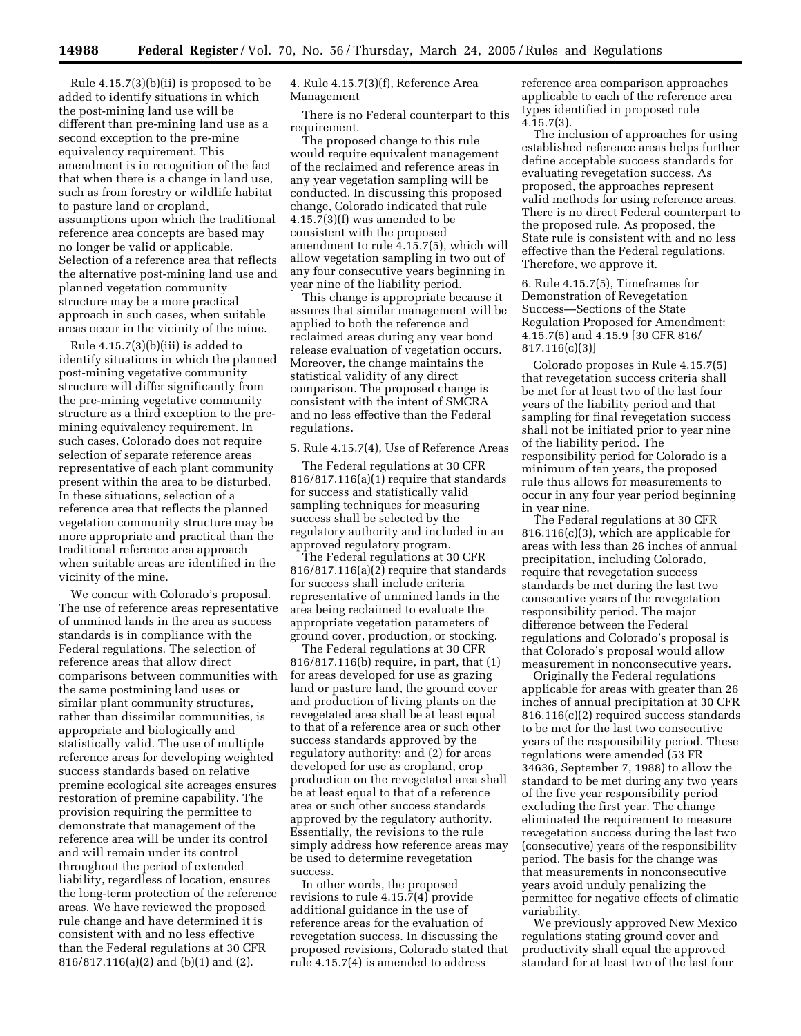Rule 4.15.7(3)(b)(ii) is proposed to be added to identify situations in which the post-mining land use will be different than pre-mining land use as a second exception to the pre-mine equivalency requirement. This amendment is in recognition of the fact that when there is a change in land use, such as from forestry or wildlife habitat to pasture land or cropland, assumptions upon which the traditional reference area concepts are based may no longer be valid or applicable. Selection of a reference area that reflects the alternative post-mining land use and planned vegetation community structure may be a more practical approach in such cases, when suitable areas occur in the vicinity of the mine.

Rule 4.15.7(3)(b)(iii) is added to identify situations in which the planned post-mining vegetative community structure will differ significantly from the pre-mining vegetative community structure as a third exception to the premining equivalency requirement. In such cases, Colorado does not require selection of separate reference areas representative of each plant community present within the area to be disturbed. In these situations, selection of a reference area that reflects the planned vegetation community structure may be more appropriate and practical than the traditional reference area approach when suitable areas are identified in the vicinity of the mine.

We concur with Colorado's proposal. The use of reference areas representative of unmined lands in the area as success standards is in compliance with the Federal regulations. The selection of reference areas that allow direct comparisons between communities with the same postmining land uses or similar plant community structures, rather than dissimilar communities, is appropriate and biologically and statistically valid. The use of multiple reference areas for developing weighted success standards based on relative premine ecological site acreages ensures restoration of premine capability. The provision requiring the permittee to demonstrate that management of the reference area will be under its control and will remain under its control throughout the period of extended liability, regardless of location, ensures the long-term protection of the reference areas. We have reviewed the proposed rule change and have determined it is consistent with and no less effective than the Federal regulations at 30 CFR 816/817.116(a)(2) and (b)(1) and (2).

4. Rule 4.15.7(3)(f), Reference Area Management

There is no Federal counterpart to this requirement.

The proposed change to this rule would require equivalent management of the reclaimed and reference areas in any year vegetation sampling will be conducted. In discussing this proposed change, Colorado indicated that rule 4.15.7(3)(f) was amended to be consistent with the proposed amendment to rule 4.15.7(5), which will allow vegetation sampling in two out of any four consecutive years beginning in year nine of the liability period.

This change is appropriate because it assures that similar management will be applied to both the reference and reclaimed areas during any year bond release evaluation of vegetation occurs. Moreover, the change maintains the statistical validity of any direct comparison. The proposed change is consistent with the intent of SMCRA and no less effective than the Federal regulations.

#### 5. Rule 4.15.7(4), Use of Reference Areas

The Federal regulations at 30 CFR 816/817.116(a)(1) require that standards for success and statistically valid sampling techniques for measuring success shall be selected by the regulatory authority and included in an approved regulatory program.

The Federal regulations at 30 CFR 816/817.116(a)(2) require that standards for success shall include criteria representative of unmined lands in the area being reclaimed to evaluate the appropriate vegetation parameters of ground cover, production, or stocking.

The Federal regulations at 30 CFR 816/817.116(b) require, in part, that (1) for areas developed for use as grazing land or pasture land, the ground cover and production of living plants on the revegetated area shall be at least equal to that of a reference area or such other success standards approved by the regulatory authority; and (2) for areas developed for use as cropland, crop production on the revegetated area shall be at least equal to that of a reference area or such other success standards approved by the regulatory authority. Essentially, the revisions to the rule simply address how reference areas may be used to determine revegetation success.

In other words, the proposed revisions to rule 4.15.7(4) provide additional guidance in the use of reference areas for the evaluation of revegetation success. In discussing the proposed revisions, Colorado stated that rule 4.15.7(4) is amended to address

reference area comparison approaches applicable to each of the reference area types identified in proposed rule 4.15.7(3).

The inclusion of approaches for using established reference areas helps further define acceptable success standards for evaluating revegetation success. As proposed, the approaches represent valid methods for using reference areas. There is no direct Federal counterpart to the proposed rule. As proposed, the State rule is consistent with and no less effective than the Federal regulations. Therefore, we approve it.

6. Rule 4.15.7(5), Timeframes for Demonstration of Revegetation Success—Sections of the State Regulation Proposed for Amendment: 4.15.7(5) and 4.15.9 [30 CFR 816/  $817.116(c)(3)$ 

Colorado proposes in Rule 4.15.7(5) that revegetation success criteria shall be met for at least two of the last four years of the liability period and that sampling for final revegetation success shall not be initiated prior to year nine of the liability period. The responsibility period for Colorado is a minimum of ten years, the proposed rule thus allows for measurements to occur in any four year period beginning in year nine.

The Federal regulations at 30 CFR 816.116(c)(3), which are applicable for areas with less than 26 inches of annual precipitation, including Colorado, require that revegetation success standards be met during the last two consecutive years of the revegetation responsibility period. The major difference between the Federal regulations and Colorado's proposal is that Colorado's proposal would allow measurement in nonconsecutive years.

Originally the Federal regulations applicable for areas with greater than 26 inches of annual precipitation at 30 CFR 816.116(c)(2) required success standards to be met for the last two consecutive years of the responsibility period. These regulations were amended (53 FR 34636, September 7, 1988) to allow the standard to be met during any two years of the five year responsibility period excluding the first year. The change eliminated the requirement to measure revegetation success during the last two (consecutive) years of the responsibility period. The basis for the change was that measurements in nonconsecutive years avoid unduly penalizing the permittee for negative effects of climatic variability.

We previously approved New Mexico regulations stating ground cover and productivity shall equal the approved standard for at least two of the last four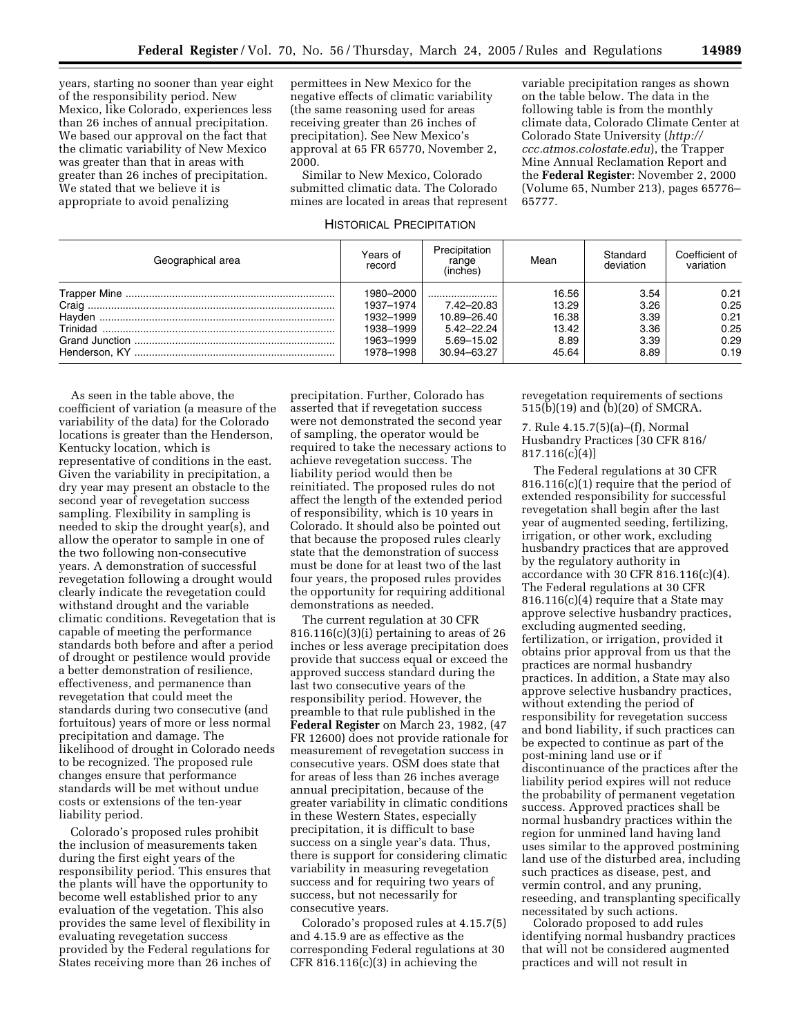years, starting no sooner than year eight of the responsibility period. New Mexico, like Colorado, experiences less than 26 inches of annual precipitation. We based our approval on the fact that the climatic variability of New Mexico was greater than that in areas with greater than 26 inches of precipitation. We stated that we believe it is appropriate to avoid penalizing

permittees in New Mexico for the negative effects of climatic variability (the same reasoning used for areas receiving greater than 26 inches of precipitation). See New Mexico's approval at 65 FR 65770, November 2, 2000.

Similar to New Mexico, Colorado submitted climatic data. The Colorado mines are located in areas that represent

HISTORICAL PRECIPITATION

variable precipitation ranges as shown on the table below. The data in the following table is from the monthly climate data, Colorado Climate Center at Colorado State University (*http:// ccc.atmos.colostate.edu*), the Trapper Mine Annual Reclamation Report and the **Federal Register**: November 2, 2000 (Volume 65, Number 213), pages 65776– 65777.

| Geographical area | Years of<br>record | Precipitation<br>range<br>(inches) | Mean  | Standard<br>deviation | Coefficient of<br>variation |
|-------------------|--------------------|------------------------------------|-------|-----------------------|-----------------------------|
|                   | 1980-2000          |                                    | 16.56 | 3.54                  | 0.21                        |
|                   | 1937-1974          | $7.42 - 20.83$                     | 13.29 | 3.26                  | 0.25                        |
|                   | 1932-1999          | 10.89-26.40                        | 16.38 | 3.39                  | 0.21                        |
|                   | 1938-1999          | $5.42 - 22.24$                     | 13.42 | 3.36                  | 0.25                        |
|                   | 1963-1999          | 5.69-15.02                         | 8.89  | 3.39                  | 0.29                        |
|                   | 1978-1998          | 30.94-63.27                        | 45.64 | 8.89                  | 0.19                        |

As seen in the table above, the coefficient of variation (a measure of the variability of the data) for the Colorado locations is greater than the Henderson, Kentucky location, which is representative of conditions in the east. Given the variability in precipitation, a dry year may present an obstacle to the second year of revegetation success sampling. Flexibility in sampling is needed to skip the drought year(s), and allow the operator to sample in one of the two following non-consecutive years. A demonstration of successful revegetation following a drought would clearly indicate the revegetation could withstand drought and the variable climatic conditions. Revegetation that is capable of meeting the performance standards both before and after a period of drought or pestilence would provide a better demonstration of resilience, effectiveness, and permanence than revegetation that could meet the standards during two consecutive (and fortuitous) years of more or less normal precipitation and damage. The likelihood of drought in Colorado needs to be recognized. The proposed rule changes ensure that performance standards will be met without undue costs or extensions of the ten-year liability period.

Colorado's proposed rules prohibit the inclusion of measurements taken during the first eight years of the responsibility period. This ensures that the plants will have the opportunity to become well established prior to any evaluation of the vegetation. This also provides the same level of flexibility in evaluating revegetation success provided by the Federal regulations for States receiving more than 26 inches of

precipitation. Further, Colorado has asserted that if revegetation success were not demonstrated the second year of sampling, the operator would be required to take the necessary actions to achieve revegetation success. The liability period would then be reinitiated. The proposed rules do not affect the length of the extended period of responsibility, which is 10 years in Colorado. It should also be pointed out that because the proposed rules clearly state that the demonstration of success must be done for at least two of the last four years, the proposed rules provides the opportunity for requiring additional demonstrations as needed.

The current regulation at 30 CFR 816.116(c)(3)(i) pertaining to areas of 26 inches or less average precipitation does provide that success equal or exceed the approved success standard during the last two consecutive years of the responsibility period. However, the preamble to that rule published in the **Federal Register** on March 23, 1982, (47 FR 12600) does not provide rationale for measurement of revegetation success in consecutive years. OSM does state that for areas of less than 26 inches average annual precipitation, because of the greater variability in climatic conditions in these Western States, especially precipitation, it is difficult to base success on a single year's data. Thus, there is support for considering climatic variability in measuring revegetation success and for requiring two years of success, but not necessarily for consecutive years.

Colorado's proposed rules at 4.15.7(5) and 4.15.9 are as effective as the corresponding Federal regulations at 30 CFR  $816.116(c)(3)$  in achieving the

revegetation requirements of sections 515(b)(19) and (b)(20) of SMCRA.

7. Rule 4.15.7(5)(a)–(f), Normal Husbandry Practices [30 CFR 816/ 817.116(c)(4)]

The Federal regulations at 30 CFR 816.116(c)(1) require that the period of extended responsibility for successful revegetation shall begin after the last year of augmented seeding, fertilizing, irrigation, or other work, excluding husbandry practices that are approved by the regulatory authority in accordance with 30 CFR 816.116(c)(4). The Federal regulations at 30 CFR  $816.116(c)(4)$  require that a State may approve selective husbandry practices, excluding augmented seeding, fertilization, or irrigation, provided it obtains prior approval from us that the practices are normal husbandry practices. In addition, a State may also approve selective husbandry practices, without extending the period of responsibility for revegetation success and bond liability, if such practices can be expected to continue as part of the post-mining land use or if discontinuance of the practices after the liability period expires will not reduce the probability of permanent vegetation success. Approved practices shall be normal husbandry practices within the region for unmined land having land uses similar to the approved postmining land use of the disturbed area, including such practices as disease, pest, and vermin control, and any pruning, reseeding, and transplanting specifically necessitated by such actions.

Colorado proposed to add rules identifying normal husbandry practices that will not be considered augmented practices and will not result in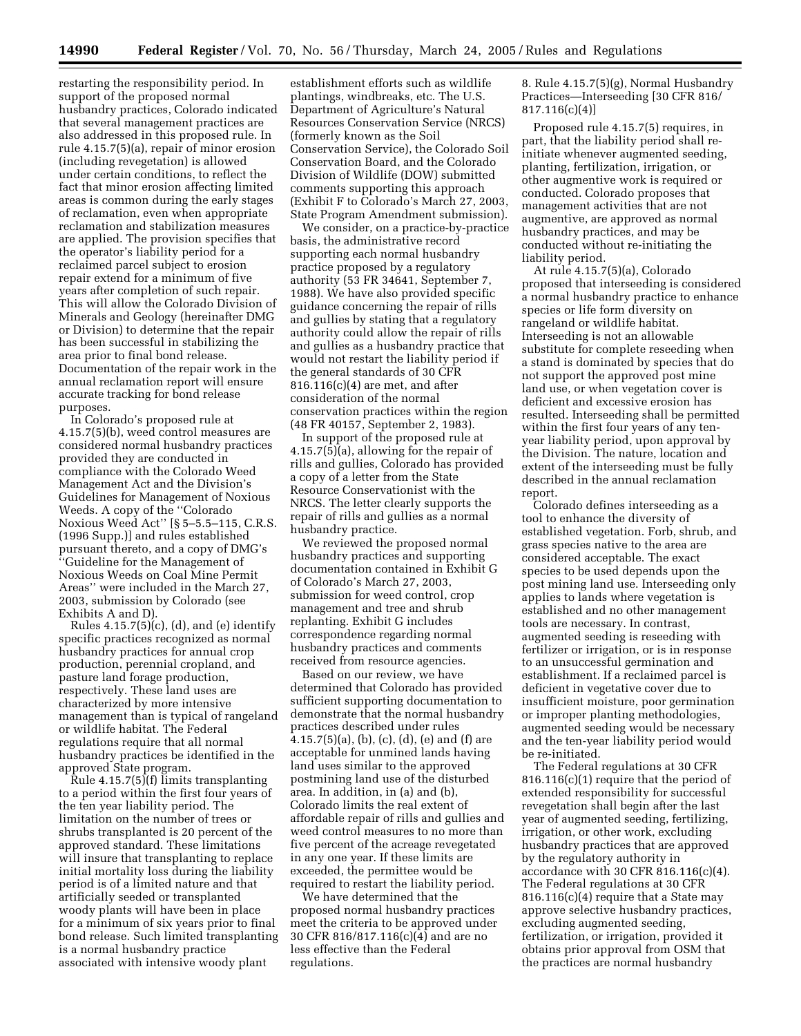restarting the responsibility period. In support of the proposed normal husbandry practices, Colorado indicated that several management practices are also addressed in this proposed rule. In rule 4.15.7(5)(a), repair of minor erosion (including revegetation) is allowed under certain conditions, to reflect the fact that minor erosion affecting limited areas is common during the early stages of reclamation, even when appropriate reclamation and stabilization measures are applied. The provision specifies that the operator's liability period for a reclaimed parcel subject to erosion repair extend for a minimum of five years after completion of such repair. This will allow the Colorado Division of Minerals and Geology (hereinafter DMG or Division) to determine that the repair has been successful in stabilizing the area prior to final bond release. Documentation of the repair work in the annual reclamation report will ensure accurate tracking for bond release purposes.

In Colorado's proposed rule at 4.15.7(5)(b), weed control measures are considered normal husbandry practices provided they are conducted in compliance with the Colorado Weed Management Act and the Division's Guidelines for Management of Noxious Weeds. A copy of the ''Colorado Noxious Weed Act'' [§ 5–5.5–115, C.R.S. (1996 Supp.)] and rules established pursuant thereto, and a copy of DMG's ''Guideline for the Management of Noxious Weeds on Coal Mine Permit Areas'' were included in the March 27, 2003, submission by Colorado (see Exhibits A and D).

Rules 4.15.7(5)(c), (d), and (e) identify specific practices recognized as normal husbandry practices for annual crop production, perennial cropland, and pasture land forage production, respectively. These land uses are characterized by more intensive management than is typical of rangeland or wildlife habitat. The Federal regulations require that all normal husbandry practices be identified in the approved State program.

Rule 4.15.7(5)(f) limits transplanting to a period within the first four years of the ten year liability period. The limitation on the number of trees or shrubs transplanted is 20 percent of the approved standard. These limitations will insure that transplanting to replace initial mortality loss during the liability period is of a limited nature and that artificially seeded or transplanted woody plants will have been in place for a minimum of six years prior to final bond release. Such limited transplanting is a normal husbandry practice associated with intensive woody plant

establishment efforts such as wildlife plantings, windbreaks, etc. The U.S. Department of Agriculture's Natural Resources Conservation Service (NRCS) (formerly known as the Soil Conservation Service), the Colorado Soil Conservation Board, and the Colorado Division of Wildlife (DOW) submitted comments supporting this approach (Exhibit F to Colorado's March 27, 2003, State Program Amendment submission).

We consider, on a practice-by-practice basis, the administrative record supporting each normal husbandry practice proposed by a regulatory authority (53 FR 34641, September 7, 1988). We have also provided specific guidance concerning the repair of rills and gullies by stating that a regulatory authority could allow the repair of rills and gullies as a husbandry practice that would not restart the liability period if the general standards of 30 CFR 816.116(c)(4) are met, and after consideration of the normal conservation practices within the region (48 FR 40157, September 2, 1983).

In support of the proposed rule at 4.15.7(5)(a), allowing for the repair of rills and gullies, Colorado has provided a copy of a letter from the State Resource Conservationist with the NRCS. The letter clearly supports the repair of rills and gullies as a normal husbandry practice.

We reviewed the proposed normal husbandry practices and supporting documentation contained in Exhibit G of Colorado's March 27, 2003, submission for weed control, crop management and tree and shrub replanting. Exhibit G includes correspondence regarding normal husbandry practices and comments received from resource agencies.

Based on our review, we have determined that Colorado has provided sufficient supporting documentation to demonstrate that the normal husbandry practices described under rules 4.15.7(5)(a), (b), (c), (d), (e) and (f) are acceptable for unmined lands having land uses similar to the approved postmining land use of the disturbed area. In addition, in (a) and (b), Colorado limits the real extent of affordable repair of rills and gullies and weed control measures to no more than five percent of the acreage revegetated in any one year. If these limits are exceeded, the permittee would be required to restart the liability period.

We have determined that the proposed normal husbandry practices meet the criteria to be approved under 30 CFR 816/817.116(c)(4) and are no less effective than the Federal regulations.

8. Rule 4.15.7(5)(g), Normal Husbandry Practices—Interseeding [30 CFR 816/  $817.116(c)(4)$ 

Proposed rule 4.15.7(5) requires, in part, that the liability period shall reinitiate whenever augmented seeding, planting, fertilization, irrigation, or other augmentive work is required or conducted. Colorado proposes that management activities that are not augmentive, are approved as normal husbandry practices, and may be conducted without re-initiating the liability period.

At rule 4.15.7(5)(a), Colorado proposed that interseeding is considered a normal husbandry practice to enhance species or life form diversity on rangeland or wildlife habitat. Interseeding is not an allowable substitute for complete reseeding when a stand is dominated by species that do not support the approved post mine land use, or when vegetation cover is deficient and excessive erosion has resulted. Interseeding shall be permitted within the first four years of any tenyear liability period, upon approval by the Division. The nature, location and extent of the interseeding must be fully described in the annual reclamation report.

Colorado defines interseeding as a tool to enhance the diversity of established vegetation. Forb, shrub, and grass species native to the area are considered acceptable. The exact species to be used depends upon the post mining land use. Interseeding only applies to lands where vegetation is established and no other management tools are necessary. In contrast, augmented seeding is reseeding with fertilizer or irrigation, or is in response to an unsuccessful germination and establishment. If a reclaimed parcel is deficient in vegetative cover due to insufficient moisture, poor germination or improper planting methodologies, augmented seeding would be necessary and the ten-year liability period would be re-initiated.

The Federal regulations at 30 CFR 816.116(c)(1) require that the period of extended responsibility for successful revegetation shall begin after the last year of augmented seeding, fertilizing, irrigation, or other work, excluding husbandry practices that are approved by the regulatory authority in accordance with 30 CFR 816.116(c)(4). The Federal regulations at 30 CFR 816.116(c)(4) require that a State may approve selective husbandry practices, excluding augmented seeding, fertilization, or irrigation, provided it obtains prior approval from OSM that the practices are normal husbandry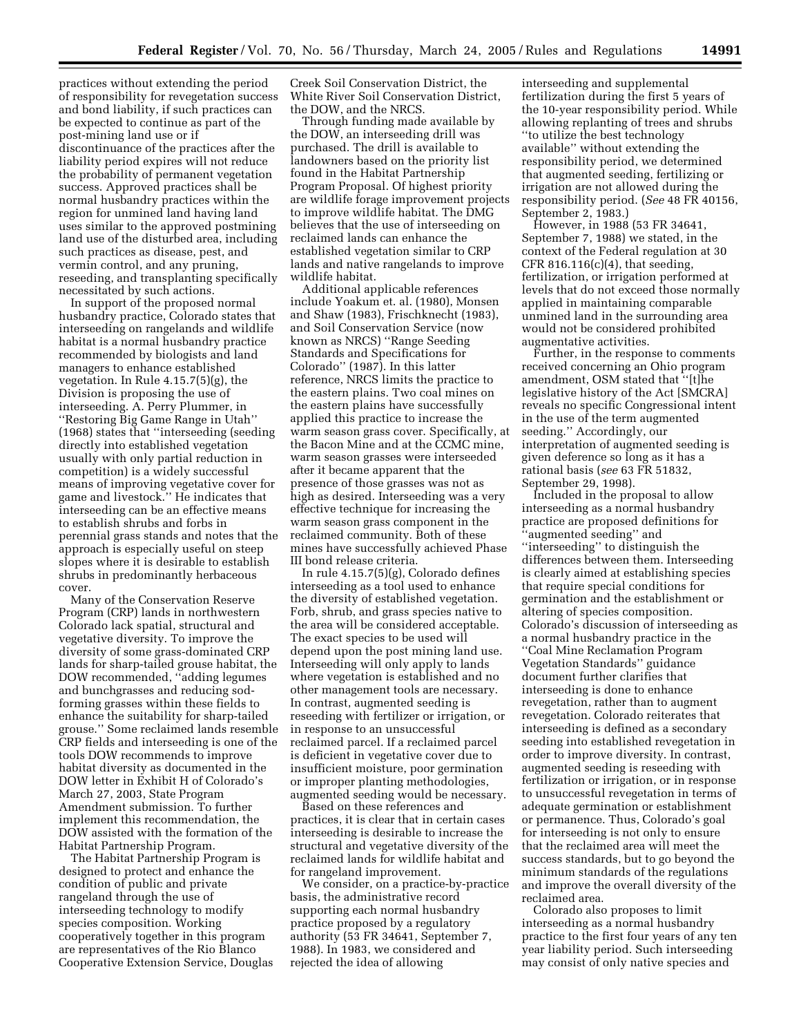practices without extending the period of responsibility for revegetation success and bond liability, if such practices can be expected to continue as part of the post-mining land use or if discontinuance of the practices after the liability period expires will not reduce the probability of permanent vegetation success. Approved practices shall be normal husbandry practices within the region for unmined land having land uses similar to the approved postmining land use of the disturbed area, including such practices as disease, pest, and vermin control, and any pruning, reseeding, and transplanting specifically necessitated by such actions.

In support of the proposed normal husbandry practice, Colorado states that interseeding on rangelands and wildlife habitat is a normal husbandry practice recommended by biologists and land managers to enhance established vegetation. In Rule 4.15.7(5)(g), the Division is proposing the use of interseeding. A. Perry Plummer, in ''Restoring Big Game Range in Utah'' (1968) states that ''interseeding (seeding directly into established vegetation usually with only partial reduction in competition) is a widely successful means of improving vegetative cover for game and livestock.'' He indicates that interseeding can be an effective means to establish shrubs and forbs in perennial grass stands and notes that the approach is especially useful on steep slopes where it is desirable to establish shrubs in predominantly herbaceous cover.

Many of the Conservation Reserve Program (CRP) lands in northwestern Colorado lack spatial, structural and vegetative diversity. To improve the diversity of some grass-dominated CRP lands for sharp-tailed grouse habitat, the DOW recommended, ''adding legumes and bunchgrasses and reducing sodforming grasses within these fields to enhance the suitability for sharp-tailed grouse.'' Some reclaimed lands resemble CRP fields and interseeding is one of the tools DOW recommends to improve habitat diversity as documented in the DOW letter in Exhibit H of Colorado's March 27, 2003, State Program Amendment submission. To further implement this recommendation, the DOW assisted with the formation of the Habitat Partnership Program.

The Habitat Partnership Program is designed to protect and enhance the condition of public and private rangeland through the use of interseeding technology to modify species composition. Working cooperatively together in this program are representatives of the Rio Blanco Cooperative Extension Service, Douglas

Creek Soil Conservation District, the White River Soil Conservation District, the DOW, and the NRCS.

Through funding made available by the DOW, an interseeding drill was purchased. The drill is available to landowners based on the priority list found in the Habitat Partnership Program Proposal. Of highest priority are wildlife forage improvement projects to improve wildlife habitat. The DMG believes that the use of interseeding on reclaimed lands can enhance the established vegetation similar to CRP lands and native rangelands to improve wildlife habitat.

Additional applicable references include Yoakum et. al. (1980), Monsen and Shaw (1983), Frischknecht (1983), and Soil Conservation Service (now known as NRCS) ''Range Seeding Standards and Specifications for Colorado'' (1987). In this latter reference, NRCS limits the practice to the eastern plains. Two coal mines on the eastern plains have successfully applied this practice to increase the warm season grass cover. Specifically, at the Bacon Mine and at the CCMC mine, warm season grasses were interseeded after it became apparent that the presence of those grasses was not as high as desired. Interseeding was a very effective technique for increasing the warm season grass component in the reclaimed community. Both of these mines have successfully achieved Phase III bond release criteria.

In rule 4.15.7(5)(g), Colorado defines interseeding as a tool used to enhance the diversity of established vegetation. Forb, shrub, and grass species native to the area will be considered acceptable. The exact species to be used will depend upon the post mining land use. Interseeding will only apply to lands where vegetation is established and no other management tools are necessary. In contrast, augmented seeding is reseeding with fertilizer or irrigation, or in response to an unsuccessful reclaimed parcel. If a reclaimed parcel is deficient in vegetative cover due to insufficient moisture, poor germination or improper planting methodologies, augmented seeding would be necessary.

Based on these references and practices, it is clear that in certain cases interseeding is desirable to increase the structural and vegetative diversity of the reclaimed lands for wildlife habitat and for rangeland improvement.

We consider, on a practice-by-practice basis, the administrative record supporting each normal husbandry practice proposed by a regulatory authority (53 FR 34641, September 7, 1988). In 1983, we considered and rejected the idea of allowing

interseeding and supplemental fertilization during the first 5 years of the 10-year responsibility period. While allowing replanting of trees and shrubs ''to utilize the best technology available'' without extending the responsibility period, we determined that augmented seeding, fertilizing or irrigation are not allowed during the responsibility period. (*See* 48 FR 40156, September 2, 1983.)

However, in 1988 (53 FR 34641, September 7, 1988) we stated, in the context of the Federal regulation at 30 CFR 816.116 $(c)(4)$ , that seeding, fertilization, or irrigation performed at levels that do not exceed those normally applied in maintaining comparable unmined land in the surrounding area would not be considered prohibited augmentative activities.

Further, in the response to comments received concerning an Ohio program amendment, OSM stated that ''[t]he legislative history of the Act [SMCRA] reveals no specific Congressional intent in the use of the term augmented seeding.'' Accordingly, our interpretation of augmented seeding is given deference so long as it has a rational basis (*see* 63 FR 51832, September 29, 1998).

Included in the proposal to allow interseeding as a normal husbandry practice are proposed definitions for ''augmented seeding'' and ''interseeding'' to distinguish the differences between them. Interseeding is clearly aimed at establishing species that require special conditions for germination and the establishment or altering of species composition. Colorado's discussion of interseeding as a normal husbandry practice in the ''Coal Mine Reclamation Program Vegetation Standards'' guidance document further clarifies that interseeding is done to enhance revegetation, rather than to augment revegetation. Colorado reiterates that interseeding is defined as a secondary seeding into established revegetation in order to improve diversity. In contrast, augmented seeding is reseeding with fertilization or irrigation, or in response to unsuccessful revegetation in terms of adequate germination or establishment or permanence. Thus, Colorado's goal for interseeding is not only to ensure that the reclaimed area will meet the success standards, but to go beyond the minimum standards of the regulations and improve the overall diversity of the reclaimed area.

Colorado also proposes to limit interseeding as a normal husbandry practice to the first four years of any ten year liability period. Such interseeding may consist of only native species and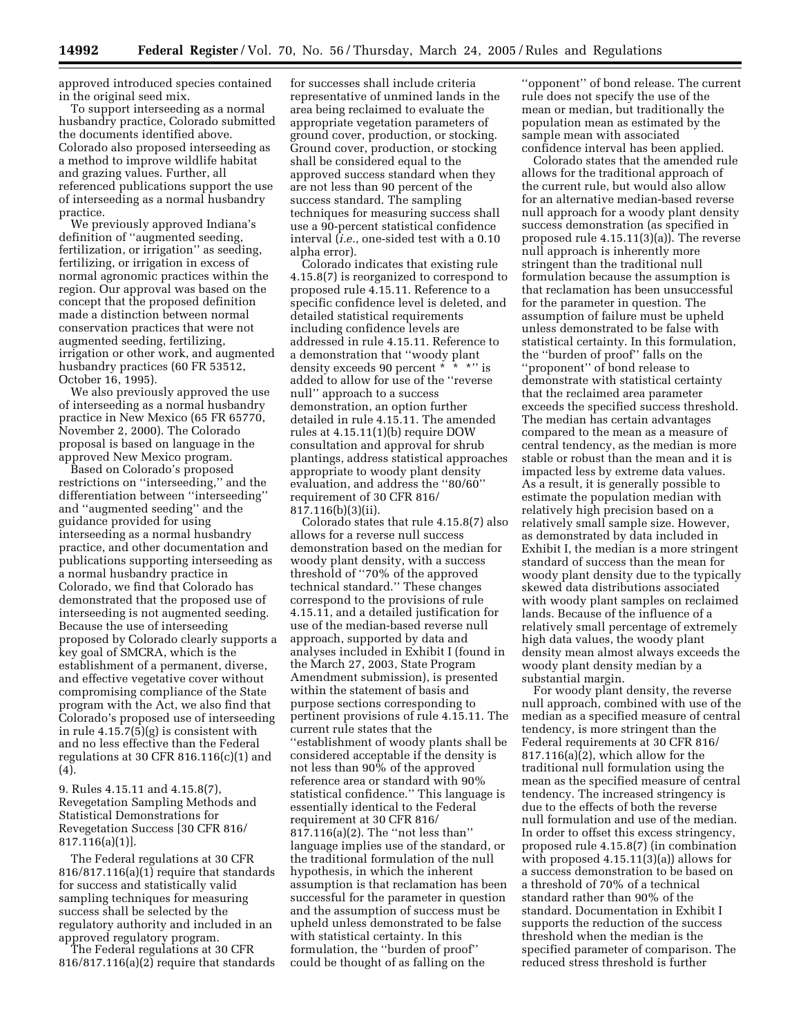approved introduced species contained in the original seed mix.

To support interseeding as a normal husbandry practice, Colorado submitted the documents identified above. Colorado also proposed interseeding as a method to improve wildlife habitat and grazing values. Further, all referenced publications support the use of interseeding as a normal husbandry practice.

We previously approved Indiana's definition of ''augmented seeding, fertilization, or irrigation'' as seeding, fertilizing, or irrigation in excess of normal agronomic practices within the region. Our approval was based on the concept that the proposed definition made a distinction between normal conservation practices that were not augmented seeding, fertilizing, irrigation or other work, and augmented husbandry practices (60 FR 53512, October 16, 1995).

We also previously approved the use of interseeding as a normal husbandry practice in New Mexico (65 FR 65770, November 2, 2000). The Colorado proposal is based on language in the approved New Mexico program.

Based on Colorado's proposed restrictions on ''interseeding,'' and the differentiation between ''interseeding'' and ''augmented seeding'' and the guidance provided for using interseeding as a normal husbandry practice, and other documentation and publications supporting interseeding as a normal husbandry practice in Colorado, we find that Colorado has demonstrated that the proposed use of interseeding is not augmented seeding. Because the use of interseeding proposed by Colorado clearly supports a key goal of SMCRA, which is the establishment of a permanent, diverse, and effective vegetative cover without compromising compliance of the State program with the Act, we also find that Colorado's proposed use of interseeding in rule 4.15.7(5)(g) is consistent with and no less effective than the Federal regulations at 30 CFR 816.116 $(c)(1)$  and (4).

9. Rules 4.15.11 and 4.15.8(7), Revegetation Sampling Methods and Statistical Demonstrations for Revegetation Success [30 CFR 816/ 817.116(a)(1)].

The Federal regulations at 30 CFR 816/817.116(a)(1) require that standards for success and statistically valid sampling techniques for measuring success shall be selected by the regulatory authority and included in an approved regulatory program.

The Federal regulations at 30 CFR 816/817.116(a)(2) require that standards

for successes shall include criteria representative of unmined lands in the area being reclaimed to evaluate the appropriate vegetation parameters of ground cover, production, or stocking. Ground cover, production, or stocking shall be considered equal to the approved success standard when they are not less than 90 percent of the success standard. The sampling techniques for measuring success shall use a 90-percent statistical confidence interval (*i.e.*, one-sided test with a 0.10 alpha error).

Colorado indicates that existing rule 4.15.8(7) is reorganized to correspond to proposed rule 4.15.11. Reference to a specific confidence level is deleted, and detailed statistical requirements including confidence levels are addressed in rule 4.15.11. Reference to a demonstration that ''woody plant density exceeds 90 percent \* \* \*'' is added to allow for use of the ''reverse null'' approach to a success demonstration, an option further detailed in rule 4.15.11. The amended rules at 4.15.11(1)(b) require DOW consultation and approval for shrub plantings, address statistical approaches appropriate to woody plant density evaluation, and address the ''80/60'' requirement of 30 CFR 816/ 817.116(b)(3)(ii).

Colorado states that rule 4.15.8(7) also allows for a reverse null success demonstration based on the median for woody plant density, with a success threshold of ''70% of the approved technical standard.'' These changes correspond to the provisions of rule 4.15.11, and a detailed justification for use of the median-based reverse null approach, supported by data and analyses included in Exhibit I (found in the March 27, 2003, State Program Amendment submission), is presented within the statement of basis and purpose sections corresponding to pertinent provisions of rule 4.15.11. The current rule states that the ''establishment of woody plants shall be considered acceptable if the density is not less than 90% of the approved reference area or standard with 90% statistical confidence.'' This language is essentially identical to the Federal requirement at 30 CFR 816/ 817.116(a)(2). The ''not less than'' language implies use of the standard, or the traditional formulation of the null hypothesis, in which the inherent assumption is that reclamation has been successful for the parameter in question and the assumption of success must be upheld unless demonstrated to be false with statistical certainty. In this formulation, the ''burden of proof'' could be thought of as falling on the

''opponent'' of bond release. The current rule does not specify the use of the mean or median, but traditionally the population mean as estimated by the sample mean with associated confidence interval has been applied.

Colorado states that the amended rule allows for the traditional approach of the current rule, but would also allow for an alternative median-based reverse null approach for a woody plant density success demonstration (as specified in proposed rule 4.15.11(3)(a)). The reverse null approach is inherently more stringent than the traditional null formulation because the assumption is that reclamation has been unsuccessful for the parameter in question. The assumption of failure must be upheld unless demonstrated to be false with statistical certainty. In this formulation, the ''burden of proof'' falls on the ''proponent'' of bond release to demonstrate with statistical certainty that the reclaimed area parameter exceeds the specified success threshold. The median has certain advantages compared to the mean as a measure of central tendency, as the median is more stable or robust than the mean and it is impacted less by extreme data values. As a result, it is generally possible to estimate the population median with relatively high precision based on a relatively small sample size. However, as demonstrated by data included in Exhibit I, the median is a more stringent standard of success than the mean for woody plant density due to the typically skewed data distributions associated with woody plant samples on reclaimed lands. Because of the influence of a relatively small percentage of extremely high data values, the woody plant density mean almost always exceeds the woody plant density median by a substantial margin.

For woody plant density, the reverse null approach, combined with use of the median as a specified measure of central tendency, is more stringent than the Federal requirements at 30 CFR 816/ 817.116(a)(2), which allow for the traditional null formulation using the mean as the specified measure of central tendency. The increased stringency is due to the effects of both the reverse null formulation and use of the median. In order to offset this excess stringency, proposed rule 4.15.8(7) (in combination with proposed 4.15.11(3)(a)) allows for a success demonstration to be based on a threshold of 70% of a technical standard rather than 90% of the standard. Documentation in Exhibit I supports the reduction of the success threshold when the median is the specified parameter of comparison. The reduced stress threshold is further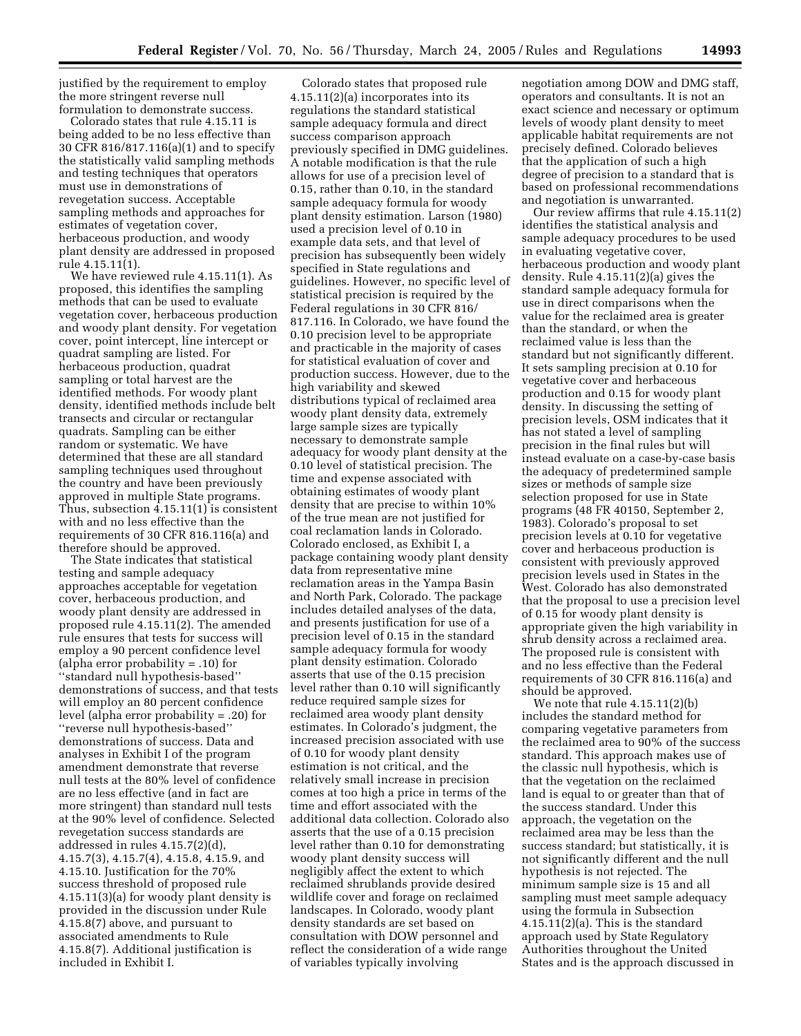justified by the requirement to employ the more stringent reverse null formulation to demonstrate success.

Colorado states that rule 4.15.11 is being added to be no less effective than 30 CFR 816/817.116(a)(1) and to specify the statistically valid sampling methods and testing techniques that operators must use in demonstrations of revegetation success. Acceptable sampling methods and approaches for estimates of vegetation cover, herbaceous production, and woody plant density are addressed in proposed rule 4.15.11(1).

We have reviewed rule 4.15.11(1). As proposed, this identifies the sampling methods that can be used to evaluate vegetation cover, herbaceous production and woody plant density. For vegetation cover, point intercept, line intercept or quadrat sampling are listed. For herbaceous production, quadrat sampling or total harvest are the identified methods. For woody plant density, identified methods include belt transects and circular or rectangular quadrats. Sampling can be either random or systematic. We have determined that these are all standard sampling techniques used throughout the country and have been previously approved in multiple State programs. Thus, subsection 4.15.11(1) is consistent with and no less effective than the requirements of 30 CFR 816.116(a) and therefore should be approved.

The State indicates that statistical testing and sample adequacy approaches acceptable for vegetation cover, herbaceous production, and woody plant density are addressed in proposed rule 4.15.11(2). The amended rule ensures that tests for success will employ a 90 percent confidence level (alpha error probability = .10) for ''standard null hypothesis-based'' demonstrations of success, and that tests will employ an 80 percent confidence level (alpha error probability = .20) for ''reverse null hypothesis-based'' demonstrations of success. Data and analyses in Exhibit I of the program amendment demonstrate that reverse null tests at the 80% level of confidence are no less effective (and in fact are more stringent) than standard null tests at the 90% level of confidence. Selected revegetation success standards are addressed in rules 4.15.7(2)(d), 4.15.7(3), 4.15.7(4), 4.15.8, 4.15.9, and 4.15.10. Justification for the 70% success threshold of proposed rule 4.15.11(3)(a) for woody plant density is provided in the discussion under Rule 4.15.8(7) above, and pursuant to associated amendments to Rule 4.15.8(7). Additional justification is included in Exhibit I.

Colorado states that proposed rule 4.15.11(2)(a) incorporates into its regulations the standard statistical sample adequacy formula and direct success comparison approach previously specified in DMG guidelines. A notable modification is that the rule allows for use of a precision level of 0.15, rather than 0.10, in the standard sample adequacy formula for woody plant density estimation. Larson (1980) used a precision level of 0.10 in example data sets, and that level of precision has subsequently been widely specified in State regulations and guidelines. However, no specific level of statistical precision is required by the Federal regulations in 30 CFR 816/ 817.116. In Colorado, we have found the 0.10 precision level to be appropriate and practicable in the majority of cases for statistical evaluation of cover and production success. However, due to the high variability and skewed distributions typical of reclaimed area woody plant density data, extremely large sample sizes are typically necessary to demonstrate sample adequacy for woody plant density at the 0.10 level of statistical precision. The time and expense associated with obtaining estimates of woody plant density that are precise to within 10% of the true mean are not justified for coal reclamation lands in Colorado. Colorado enclosed, as Exhibit I, a package containing woody plant density data from representative mine reclamation areas in the Yampa Basin and North Park, Colorado. The package includes detailed analyses of the data, and presents justification for use of a precision level of 0.15 in the standard sample adequacy formula for woody plant density estimation. Colorado asserts that use of the 0.15 precision level rather than 0.10 will significantly reduce required sample sizes for reclaimed area woody plant density estimates. In Colorado's judgment, the increased precision associated with use of 0.10 for woody plant density estimation is not critical, and the relatively small increase in precision comes at too high a price in terms of the time and effort associated with the additional data collection. Colorado also asserts that the use of a 0.15 precision level rather than 0.10 for demonstrating woody plant density success will negligibly affect the extent to which reclaimed shrublands provide desired wildlife cover and forage on reclaimed landscapes. In Colorado, woody plant density standards are set based on consultation with DOW personnel and reflect the consideration of a wide range of variables typically involving

negotiation among DOW and DMG staff, operators and consultants. It is not an exact science and necessary or optimum levels of woody plant density to meet applicable habitat requirements are not precisely defined. Colorado believes that the application of such a high degree of precision to a standard that is based on professional recommendations and negotiation is unwarranted.

Our review affirms that rule 4.15.11(2) identifies the statistical analysis and sample adequacy procedures to be used in evaluating vegetative cover, herbaceous production and woody plant density. Rule 4.15.11(2)(a) gives the standard sample adequacy formula for use in direct comparisons when the value for the reclaimed area is greater than the standard, or when the reclaimed value is less than the standard but not significantly different. It sets sampling precision at 0.10 for vegetative cover and herbaceous production and 0.15 for woody plant density. In discussing the setting of precision levels, OSM indicates that it has not stated a level of sampling precision in the final rules but will instead evaluate on a case-by-case basis the adequacy of predetermined sample sizes or methods of sample size selection proposed for use in State programs (48 FR 40150, September 2, 1983). Colorado's proposal to set precision levels at 0.10 for vegetative cover and herbaceous production is consistent with previously approved precision levels used in States in the West. Colorado has also demonstrated that the proposal to use a precision level of 0.15 for woody plant density is appropriate given the high variability in shrub density across a reclaimed area. The proposed rule is consistent with and no less effective than the Federal requirements of 30 CFR 816.116(a) and should be approved.

We note that rule 4.15.11(2)(b) includes the standard method for comparing vegetative parameters from the reclaimed area to 90% of the success standard. This approach makes use of the classic null hypothesis, which is that the vegetation on the reclaimed land is equal to or greater than that of the success standard. Under this approach, the vegetation on the reclaimed area may be less than the success standard; but statistically, it is not significantly different and the null hypothesis is not rejected. The minimum sample size is 15 and all sampling must meet sample adequacy using the formula in Subsection 4.15.11(2)(a). This is the standard approach used by State Regulatory Authorities throughout the United States and is the approach discussed in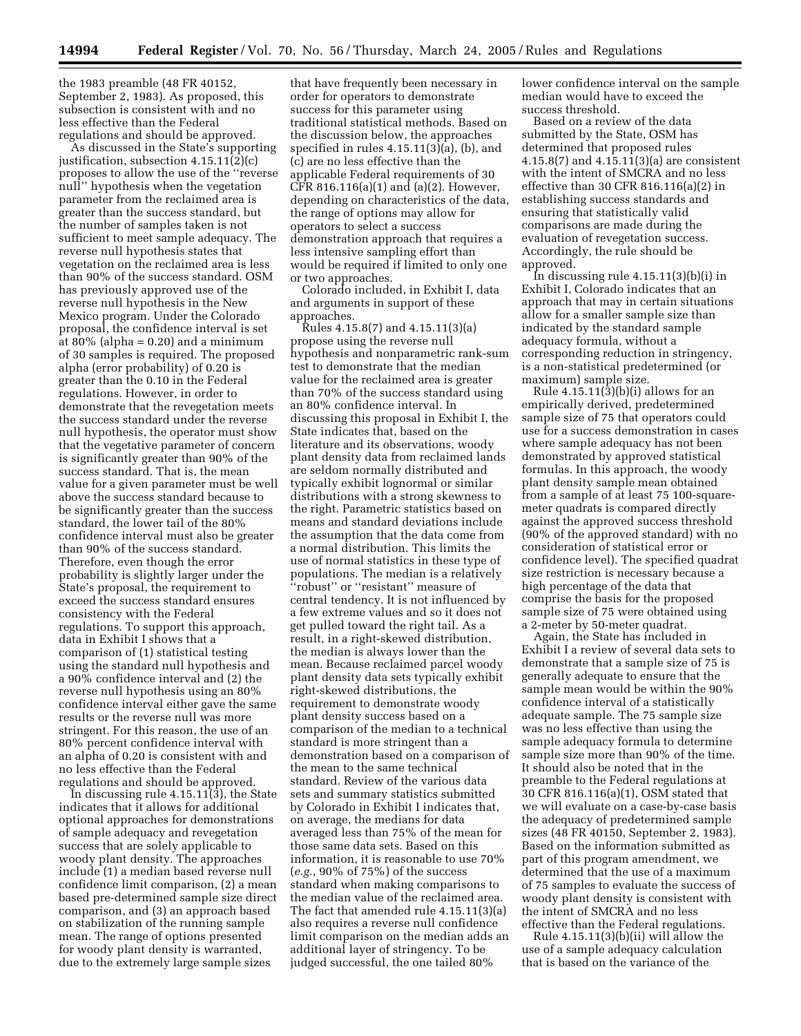the 1983 preamble (48 FR 40152, September 2, 1983). As proposed, this subsection is consistent with and no less effective than the Federal regulations and should be approved.

As discussed in the State's supporting justification, subsection 4.15.11(2)(c) proposes to allow the use of the ''reverse null'' hypothesis when the vegetation parameter from the reclaimed area is greater than the success standard, but the number of samples taken is not sufficient to meet sample adequacy. The reverse null hypothesis states that vegetation on the reclaimed area is less than 90% of the success standard. OSM has previously approved use of the reverse null hypothesis in the New Mexico program. Under the Colorado proposal, the confidence interval is set at  $80\%$  (alpha = 0.20) and a minimum of 30 samples is required. The proposed alpha (error probability) of 0.20 is greater than the 0.10 in the Federal regulations. However, in order to demonstrate that the revegetation meets the success standard under the reverse null hypothesis, the operator must show that the vegetative parameter of concern is significantly greater than 90% of the success standard. That is, the mean value for a given parameter must be well above the success standard because to be significantly greater than the success standard, the lower tail of the 80% confidence interval must also be greater than 90% of the success standard. Therefore, even though the error probability is slightly larger under the State's proposal, the requirement to exceed the success standard ensures consistency with the Federal regulations. To support this approach, data in Exhibit I shows that a comparison of (1) statistical testing using the standard null hypothesis and a 90% confidence interval and (2) the reverse null hypothesis using an 80% confidence interval either gave the same results or the reverse null was more stringent. For this reason, the use of an 80% percent confidence interval with an alpha of 0.20 is consistent with and no less effective than the Federal regulations and should be approved.

In discussing rule 4.15.11(3), the State indicates that it allows for additional optional approaches for demonstrations of sample adequacy and revegetation success that are solely applicable to woody plant density. The approaches include (1) a median based reverse null confidence limit comparison, (2) a mean based pre-determined sample size direct comparison, and (3) an approach based on stabilization of the running sample mean. The range of options presented for woody plant density is warranted, due to the extremely large sample sizes

that have frequently been necessary in order for operators to demonstrate success for this parameter using traditional statistical methods. Based on the discussion below, the approaches specified in rules 4.15.11(3)(a), (b), and (c) are no less effective than the applicable Federal requirements of 30 CFR 816.116(a)(1) and (a)(2). However, depending on characteristics of the data, the range of options may allow for operators to select a success demonstration approach that requires a less intensive sampling effort than would be required if limited to only one or two approaches.

Colorado included, in Exhibit I, data and arguments in support of these approaches.

Rules 4.15.8(7) and 4.15.11(3)(a) propose using the reverse null hypothesis and nonparametric rank-sum test to demonstrate that the median value for the reclaimed area is greater than 70% of the success standard using an 80% confidence interval. In discussing this proposal in Exhibit I, the State indicates that, based on the literature and its observations, woody plant density data from reclaimed lands are seldom normally distributed and typically exhibit lognormal or similar distributions with a strong skewness to the right. Parametric statistics based on means and standard deviations include the assumption that the data come from a normal distribution. This limits the use of normal statistics in these type of populations. The median is a relatively ''robust'' or ''resistant'' measure of central tendency. It is not influenced by a few extreme values and so it does not get pulled toward the right tail. As a result, in a right-skewed distribution, the median is always lower than the mean. Because reclaimed parcel woody plant density data sets typically exhibit right-skewed distributions, the requirement to demonstrate woody plant density success based on a comparison of the median to a technical standard is more stringent than a demonstration based on a comparison of the mean to the same technical standard. Review of the various data sets and summary statistics submitted by Colorado in Exhibit I indicates that, on average, the medians for data averaged less than 75% of the mean for those same data sets. Based on this information, it is reasonable to use 70% (*e.g.*, 90% of 75%) of the success standard when making comparisons to the median value of the reclaimed area. The fact that amended rule 4.15.11(3)(a) also requires a reverse null confidence limit comparison on the median adds an additional layer of stringency. To be judged successful, the one tailed 80%

lower confidence interval on the sample median would have to exceed the success threshold.

Based on a review of the data submitted by the State, OSM has determined that proposed rules 4.15.8(7) and 4.15.11(3)(a) are consistent with the intent of SMCRA and no less effective than 30 CFR 816.116(a)(2) in establishing success standards and ensuring that statistically valid comparisons are made during the evaluation of revegetation success. Accordingly, the rule should be approved.

In discussing rule  $4.15.11(3)(b)(i)$  in Exhibit I, Colorado indicates that an approach that may in certain situations allow for a smaller sample size than indicated by the standard sample adequacy formula, without a corresponding reduction in stringency, is a non-statistical predetermined (or maximum) sample size.

Rule  $4.15.11(3)(b)(i)$  allows for an empirically derived, predetermined sample size of 75 that operators could use for a success demonstration in cases where sample adequacy has not been demonstrated by approved statistical formulas. In this approach, the woody plant density sample mean obtained from a sample of at least 75 100-squaremeter quadrats is compared directly against the approved success threshold (90% of the approved standard) with no consideration of statistical error or confidence level). The specified quadrat size restriction is necessary because a high percentage of the data that comprise the basis for the proposed sample size of 75 were obtained using a 2-meter by 50-meter quadrat.

Again, the State has included in Exhibit I a review of several data sets to demonstrate that a sample size of 75 is generally adequate to ensure that the sample mean would be within the 90% confidence interval of a statistically adequate sample. The 75 sample size was no less effective than using the sample adequacy formula to determine sample size more than 90% of the time. It should also be noted that in the preamble to the Federal regulations at 30 CFR 816.116(a)(1), OSM stated that we will evaluate on a case-by-case basis the adequacy of predetermined sample sizes (48 FR 40150, September 2, 1983). Based on the information submitted as part of this program amendment, we determined that the use of a maximum of 75 samples to evaluate the success of woody plant density is consistent with the intent of SMCRA and no less effective than the Federal regulations.

Rule  $4.15.11(3)(b)(ii)$  will allow the use of a sample adequacy calculation that is based on the variance of the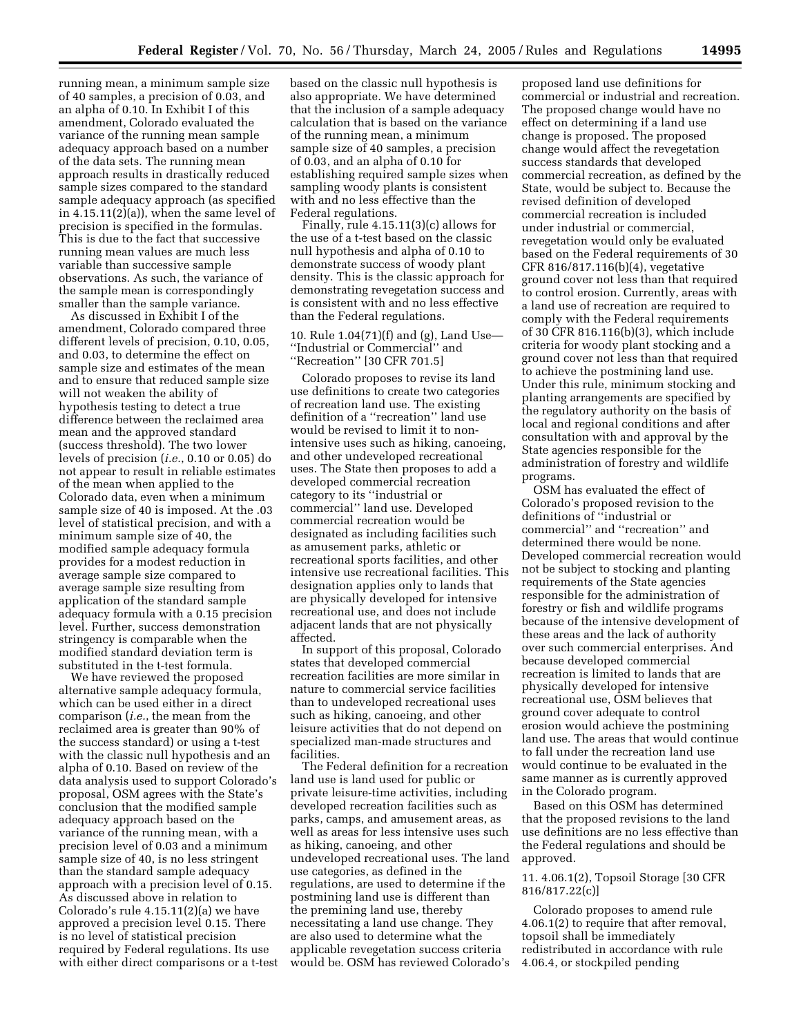running mean, a minimum sample size of 40 samples, a precision of 0.03, and an alpha of 0.10. In Exhibit I of this amendment, Colorado evaluated the variance of the running mean sample adequacy approach based on a number of the data sets. The running mean approach results in drastically reduced sample sizes compared to the standard sample adequacy approach (as specified in 4.15.11(2)(a)), when the same level of precision is specified in the formulas. This is due to the fact that successive running mean values are much less variable than successive sample observations. As such, the variance of the sample mean is correspondingly smaller than the sample variance.

As discussed in Exhibit I of the amendment, Colorado compared three different levels of precision, 0.10, 0.05, and 0.03, to determine the effect on sample size and estimates of the mean and to ensure that reduced sample size will not weaken the ability of hypothesis testing to detect a true difference between the reclaimed area mean and the approved standard (success threshold). The two lower levels of precision (*i.e.*, 0.10 or 0.05) do not appear to result in reliable estimates of the mean when applied to the Colorado data, even when a minimum sample size of 40 is imposed. At the .03 level of statistical precision, and with a minimum sample size of 40, the modified sample adequacy formula provides for a modest reduction in average sample size compared to average sample size resulting from application of the standard sample adequacy formula with a 0.15 precision level. Further, success demonstration stringency is comparable when the modified standard deviation term is substituted in the t-test formula.

We have reviewed the proposed alternative sample adequacy formula, which can be used either in a direct comparison (*i.e.*, the mean from the reclaimed area is greater than 90% of the success standard) or using a t-test with the classic null hypothesis and an alpha of 0.10. Based on review of the data analysis used to support Colorado's proposal, OSM agrees with the State's conclusion that the modified sample adequacy approach based on the variance of the running mean, with a precision level of 0.03 and a minimum sample size of 40, is no less stringent than the standard sample adequacy approach with a precision level of 0.15. As discussed above in relation to Colorado's rule 4.15.11(2)(a) we have approved a precision level 0.15. There is no level of statistical precision required by Federal regulations. Its use with either direct comparisons or a t-test based on the classic null hypothesis is also appropriate. We have determined that the inclusion of a sample adequacy calculation that is based on the variance of the running mean, a minimum sample size of 40 samples, a precision of 0.03, and an alpha of 0.10 for establishing required sample sizes when sampling woody plants is consistent with and no less effective than the Federal regulations.

Finally, rule 4.15.11(3)(c) allows for the use of a t-test based on the classic null hypothesis and alpha of 0.10 to demonstrate success of woody plant density. This is the classic approach for demonstrating revegetation success and is consistent with and no less effective than the Federal regulations.

## 10. Rule 1.04(71)(f) and (g), Land Use— ''Industrial or Commercial'' and ''Recreation'' [30 CFR 701.5]

Colorado proposes to revise its land use definitions to create two categories of recreation land use. The existing definition of a ''recreation'' land use would be revised to limit it to nonintensive uses such as hiking, canoeing, and other undeveloped recreational uses. The State then proposes to add a developed commercial recreation category to its ''industrial or commercial'' land use. Developed commercial recreation would be designated as including facilities such as amusement parks, athletic or recreational sports facilities, and other intensive use recreational facilities. This designation applies only to lands that are physically developed for intensive recreational use, and does not include adjacent lands that are not physically affected.

In support of this proposal, Colorado states that developed commercial recreation facilities are more similar in nature to commercial service facilities than to undeveloped recreational uses such as hiking, canoeing, and other leisure activities that do not depend on specialized man-made structures and facilities.

The Federal definition for a recreation land use is land used for public or private leisure-time activities, including developed recreation facilities such as parks, camps, and amusement areas, as well as areas for less intensive uses such as hiking, canoeing, and other undeveloped recreational uses. The land use categories, as defined in the regulations, are used to determine if the postmining land use is different than the premining land use, thereby necessitating a land use change. They are also used to determine what the applicable revegetation success criteria would be. OSM has reviewed Colorado's

proposed land use definitions for commercial or industrial and recreation. The proposed change would have no effect on determining if a land use change is proposed. The proposed change would affect the revegetation success standards that developed commercial recreation, as defined by the State, would be subject to. Because the revised definition of developed commercial recreation is included under industrial or commercial, revegetation would only be evaluated based on the Federal requirements of 30 CFR 816/817.116(b)(4), vegetative ground cover not less than that required to control erosion. Currently, areas with a land use of recreation are required to comply with the Federal requirements of 30 CFR 816.116(b)(3), which include criteria for woody plant stocking and a ground cover not less than that required to achieve the postmining land use. Under this rule, minimum stocking and planting arrangements are specified by the regulatory authority on the basis of local and regional conditions and after consultation with and approval by the State agencies responsible for the administration of forestry and wildlife programs.

OSM has evaluated the effect of Colorado's proposed revision to the definitions of ''industrial or commercial'' and ''recreation'' and determined there would be none. Developed commercial recreation would not be subject to stocking and planting requirements of the State agencies responsible for the administration of forestry or fish and wildlife programs because of the intensive development of these areas and the lack of authority over such commercial enterprises. And because developed commercial recreation is limited to lands that are physically developed for intensive recreational use, OSM believes that ground cover adequate to control erosion would achieve the postmining land use. The areas that would continue to fall under the recreation land use would continue to be evaluated in the same manner as is currently approved in the Colorado program.

Based on this OSM has determined that the proposed revisions to the land use definitions are no less effective than the Federal regulations and should be approved.

## 11. 4.06.1(2), Topsoil Storage [30 CFR 816/817.22(c)]

Colorado proposes to amend rule 4.06.1(2) to require that after removal, topsoil shall be immediately redistributed in accordance with rule 4.06.4, or stockpiled pending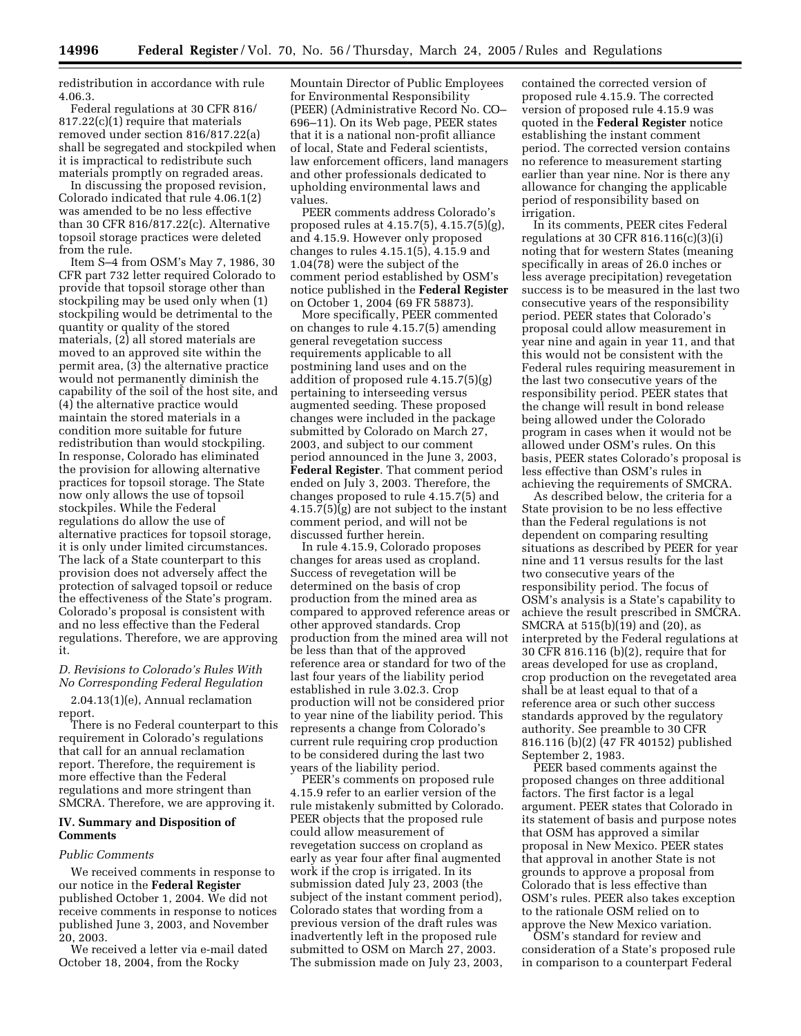redistribution in accordance with rule 4.06.3.

Federal regulations at 30 CFR 816/ 817.22(c)(1) require that materials removed under section 816/817.22(a) shall be segregated and stockpiled when it is impractical to redistribute such materials promptly on regraded areas.

In discussing the proposed revision, Colorado indicated that rule 4.06.1(2) was amended to be no less effective than 30 CFR 816/817.22(c). Alternative topsoil storage practices were deleted from the rule.

Item S–4 from OSM's May 7, 1986, 30 CFR part 732 letter required Colorado to provide that topsoil storage other than stockpiling may be used only when (1) stockpiling would be detrimental to the quantity or quality of the stored materials, (2) all stored materials are moved to an approved site within the permit area, (3) the alternative practice would not permanently diminish the capability of the soil of the host site, and (4) the alternative practice would maintain the stored materials in a condition more suitable for future redistribution than would stockpiling. In response, Colorado has eliminated the provision for allowing alternative practices for topsoil storage. The State now only allows the use of topsoil stockpiles. While the Federal regulations do allow the use of alternative practices for topsoil storage, it is only under limited circumstances. The lack of a State counterpart to this provision does not adversely affect the protection of salvaged topsoil or reduce the effectiveness of the State's program. Colorado's proposal is consistent with and no less effective than the Federal regulations. Therefore, we are approving it.

*D. Revisions to Colorado's Rules With No Corresponding Federal Regulation* 

2.04.13(1)(e), Annual reclamation report.

There is no Federal counterpart to this requirement in Colorado's regulations that call for an annual reclamation report. Therefore, the requirement is more effective than the Federal regulations and more stringent than SMCRA. Therefore, we are approving it.

## **IV. Summary and Disposition of Comments**

#### *Public Comments*

We received comments in response to our notice in the **Federal Register** published October 1, 2004. We did not receive comments in response to notices published June 3, 2003, and November 20, 2003.

We received a letter via e-mail dated October 18, 2004, from the Rocky

Mountain Director of Public Employees for Environmental Responsibility (PEER) (Administrative Record No. CO– 696–11). On its Web page, PEER states that it is a national non-profit alliance of local, State and Federal scientists, law enforcement officers, land managers and other professionals dedicated to upholding environmental laws and values.

PEER comments address Colorado's proposed rules at 4.15.7(5), 4.15.7(5)(g), and 4.15.9. However only proposed changes to rules 4.15.1(5), 4.15.9 and 1.04(78) were the subject of the comment period established by OSM's notice published in the **Federal Register** on October 1, 2004 (69 FR 58873).

More specifically, PEER commented on changes to rule 4.15.7(5) amending general revegetation success requirements applicable to all postmining land uses and on the addition of proposed rule 4.15.7(5)(g) pertaining to interseeding versus augmented seeding. These proposed changes were included in the package submitted by Colorado on March 27, 2003, and subject to our comment period announced in the June 3, 2003, **Federal Register**. That comment period ended on July 3, 2003. Therefore, the changes proposed to rule 4.15.7(5) and 4.15.7(5)(g) are not subject to the instant comment period, and will not be discussed further herein.

In rule 4.15.9, Colorado proposes changes for areas used as cropland. Success of revegetation will be determined on the basis of crop production from the mined area as compared to approved reference areas or other approved standards. Crop production from the mined area will not be less than that of the approved reference area or standard for two of the last four years of the liability period established in rule 3.02.3. Crop production will not be considered prior to year nine of the liability period. This represents a change from Colorado's current rule requiring crop production to be considered during the last two years of the liability period.

PEER's comments on proposed rule 4.15.9 refer to an earlier version of the rule mistakenly submitted by Colorado. PEER objects that the proposed rule could allow measurement of revegetation success on cropland as early as year four after final augmented work if the crop is irrigated. In its submission dated July 23, 2003 (the subject of the instant comment period), Colorado states that wording from a previous version of the draft rules was inadvertently left in the proposed rule submitted to OSM on March 27, 2003. The submission made on July 23, 2003,

contained the corrected version of proposed rule 4.15.9. The corrected version of proposed rule 4.15.9 was quoted in the **Federal Register** notice establishing the instant comment period. The corrected version contains no reference to measurement starting earlier than year nine. Nor is there any allowance for changing the applicable period of responsibility based on irrigation.

In its comments, PEER cites Federal regulations at 30 CFR 816.116(c)(3)(i) noting that for western States (meaning specifically in areas of 26.0 inches or less average precipitation) revegetation success is to be measured in the last two consecutive years of the responsibility period. PEER states that Colorado's proposal could allow measurement in year nine and again in year 11, and that this would not be consistent with the Federal rules requiring measurement in the last two consecutive years of the responsibility period. PEER states that the change will result in bond release being allowed under the Colorado program in cases when it would not be allowed under OSM's rules. On this basis, PEER states Colorado's proposal is less effective than OSM's rules in achieving the requirements of SMCRA.

As described below, the criteria for a State provision to be no less effective than the Federal regulations is not dependent on comparing resulting situations as described by PEER for year nine and 11 versus results for the last two consecutive years of the responsibility period. The focus of OSM's analysis is a State's capability to achieve the result prescribed in SMCRA. SMCRA at  $515(b)(19)$  and (20), as interpreted by the Federal regulations at 30 CFR 816.116 (b)(2), require that for areas developed for use as cropland, crop production on the revegetated area shall be at least equal to that of a reference area or such other success standards approved by the regulatory authority. See preamble to 30 CFR 816.116 (b)(2) (47 FR 40152) published September 2, 1983.

PEER based comments against the proposed changes on three additional factors. The first factor is a legal argument. PEER states that Colorado in its statement of basis and purpose notes that OSM has approved a similar proposal in New Mexico. PEER states that approval in another State is not grounds to approve a proposal from Colorado that is less effective than OSM's rules. PEER also takes exception to the rationale OSM relied on to approve the New Mexico variation.

OSM's standard for review and consideration of a State's proposed rule in comparison to a counterpart Federal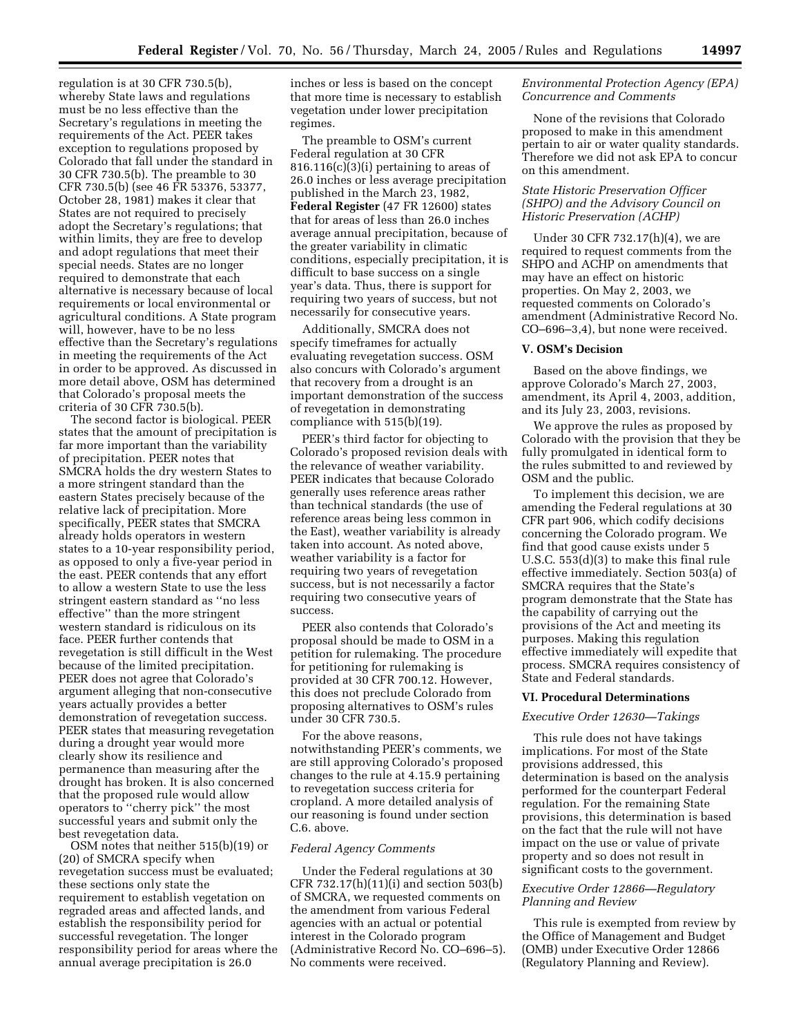regulation is at 30 CFR 730.5(b), whereby State laws and regulations must be no less effective than the Secretary's regulations in meeting the requirements of the Act. PEER takes exception to regulations proposed by Colorado that fall under the standard in 30 CFR 730.5(b). The preamble to 30 CFR 730.5(b) (see 46 FR 53376, 53377, October 28, 1981) makes it clear that States are not required to precisely adopt the Secretary's regulations; that within limits, they are free to develop and adopt regulations that meet their special needs. States are no longer required to demonstrate that each alternative is necessary because of local requirements or local environmental or agricultural conditions. A State program will, however, have to be no less effective than the Secretary's regulations in meeting the requirements of the Act in order to be approved. As discussed in more detail above, OSM has determined that Colorado's proposal meets the criteria of 30 CFR 730.5(b).

The second factor is biological. PEER states that the amount of precipitation is far more important than the variability of precipitation. PEER notes that SMCRA holds the dry western States to a more stringent standard than the eastern States precisely because of the relative lack of precipitation. More specifically, PEER states that SMCRA already holds operators in western states to a 10-year responsibility period, as opposed to only a five-year period in the east. PEER contends that any effort to allow a western State to use the less stringent eastern standard as ''no less effective'' than the more stringent western standard is ridiculous on its face. PEER further contends that revegetation is still difficult in the West because of the limited precipitation. PEER does not agree that Colorado's argument alleging that non-consecutive years actually provides a better demonstration of revegetation success. PEER states that measuring revegetation during a drought year would more clearly show its resilience and permanence than measuring after the drought has broken. It is also concerned that the proposed rule would allow operators to ''cherry pick'' the most successful years and submit only the best revegetation data.

OSM notes that neither 515(b)(19) or (20) of SMCRA specify when revegetation success must be evaluated; these sections only state the requirement to establish vegetation on regraded areas and affected lands, and establish the responsibility period for successful revegetation. The longer responsibility period for areas where the annual average precipitation is 26.0

inches or less is based on the concept that more time is necessary to establish vegetation under lower precipitation regimes.

The preamble to OSM's current Federal regulation at 30 CFR 816.116(c)(3)(i) pertaining to areas of 26.0 inches or less average precipitation published in the March 23, 1982, **Federal Register** (47 FR 12600) states that for areas of less than 26.0 inches average annual precipitation, because of the greater variability in climatic conditions, especially precipitation, it is difficult to base success on a single year's data. Thus, there is support for requiring two years of success, but not necessarily for consecutive years.

Additionally, SMCRA does not specify timeframes for actually evaluating revegetation success. OSM also concurs with Colorado's argument that recovery from a drought is an important demonstration of the success of revegetation in demonstrating compliance with 515(b)(19).

PEER's third factor for objecting to Colorado's proposed revision deals with the relevance of weather variability. PEER indicates that because Colorado generally uses reference areas rather than technical standards (the use of reference areas being less common in the East), weather variability is already taken into account. As noted above, weather variability is a factor for requiring two years of revegetation success, but is not necessarily a factor requiring two consecutive years of success.

PEER also contends that Colorado's proposal should be made to OSM in a petition for rulemaking. The procedure for petitioning for rulemaking is provided at 30 CFR 700.12. However, this does not preclude Colorado from proposing alternatives to OSM's rules under 30 CFR 730.5.

For the above reasons, notwithstanding PEER's comments, we are still approving Colorado's proposed changes to the rule at 4.15.9 pertaining to revegetation success criteria for cropland. A more detailed analysis of our reasoning is found under section C.6. above.

#### *Federal Agency Comments*

Under the Federal regulations at 30 CFR 732.17(h)(11)(i) and section 503(b) of SMCRA, we requested comments on the amendment from various Federal agencies with an actual or potential interest in the Colorado program (Administrative Record No. CO–696–5). No comments were received.

## *Environmental Protection Agency (EPA) Concurrence and Comments*

None of the revisions that Colorado proposed to make in this amendment pertain to air or water quality standards. Therefore we did not ask EPA to concur on this amendment.

# *State Historic Preservation Officer (SHPO) and the Advisory Council on Historic Preservation (ACHP)*

Under 30 CFR 732.17(h)(4), we are required to request comments from the SHPO and ACHP on amendments that may have an effect on historic properties. On May 2, 2003, we requested comments on Colorado's amendment (Administrative Record No. CO–696–3,4), but none were received.

#### **V. OSM's Decision**

Based on the above findings, we approve Colorado's March 27, 2003, amendment, its April 4, 2003, addition, and its July 23, 2003, revisions.

We approve the rules as proposed by Colorado with the provision that they be fully promulgated in identical form to the rules submitted to and reviewed by OSM and the public.

To implement this decision, we are amending the Federal regulations at 30 CFR part 906, which codify decisions concerning the Colorado program. We find that good cause exists under 5 U.S.C. 553(d)(3) to make this final rule effective immediately. Section 503(a) of SMCRA requires that the State's program demonstrate that the State has the capability of carrying out the provisions of the Act and meeting its purposes. Making this regulation effective immediately will expedite that process. SMCRA requires consistency of State and Federal standards.

#### **VI. Procedural Determinations**

#### *Executive Order 12630—Takings*

This rule does not have takings implications. For most of the State provisions addressed, this determination is based on the analysis performed for the counterpart Federal regulation. For the remaining State provisions, this determination is based on the fact that the rule will not have impact on the use or value of private property and so does not result in significant costs to the government.

#### *Executive Order 12866—Regulatory Planning and Review*

This rule is exempted from review by the Office of Management and Budget (OMB) under Executive Order 12866 (Regulatory Planning and Review).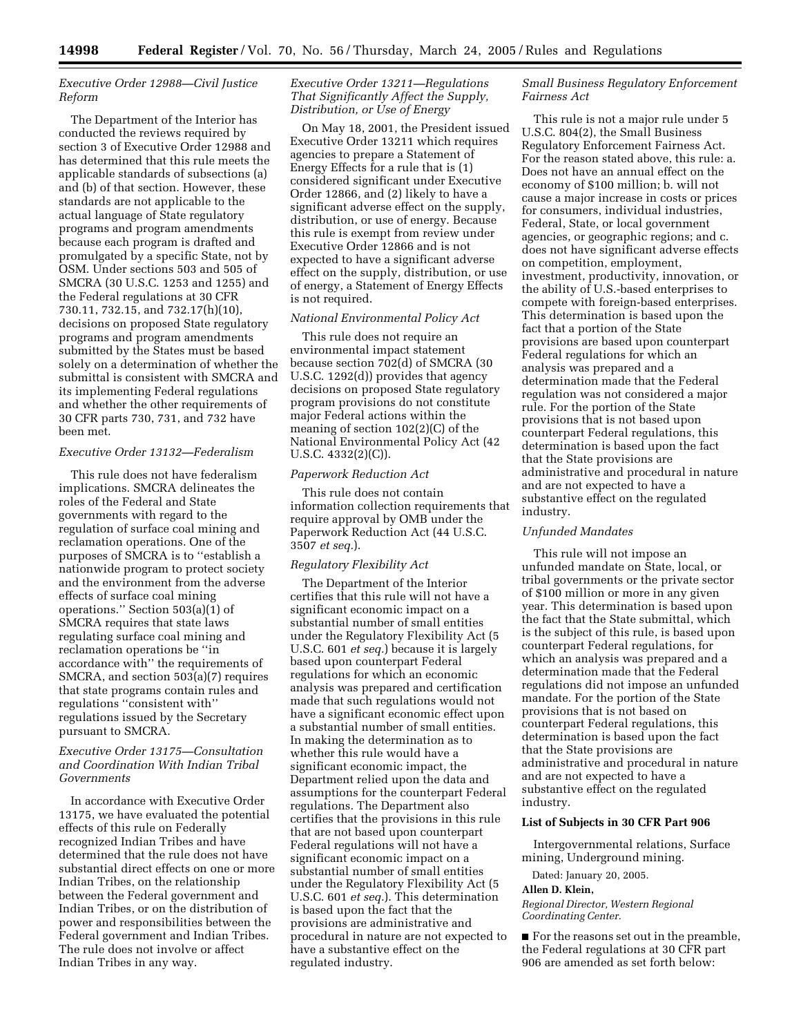# *Executive Order 12988—Civil Justice Reform*

The Department of the Interior has conducted the reviews required by section 3 of Executive Order 12988 and has determined that this rule meets the applicable standards of subsections (a) and (b) of that section. However, these standards are not applicable to the actual language of State regulatory programs and program amendments because each program is drafted and promulgated by a specific State, not by OSM. Under sections 503 and 505 of SMCRA (30 U.S.C. 1253 and 1255) and the Federal regulations at 30 CFR 730.11, 732.15, and 732.17(h)(10), decisions on proposed State regulatory programs and program amendments submitted by the States must be based solely on a determination of whether the submittal is consistent with SMCRA and its implementing Federal regulations and whether the other requirements of 30 CFR parts 730, 731, and 732 have been met.

## *Executive Order 13132—Federalism*

This rule does not have federalism implications. SMCRA delineates the roles of the Federal and State governments with regard to the regulation of surface coal mining and reclamation operations. One of the purposes of SMCRA is to ''establish a nationwide program to protect society and the environment from the adverse effects of surface coal mining operations.'' Section 503(a)(1) of SMCRA requires that state laws regulating surface coal mining and reclamation operations be ''in accordance with'' the requirements of SMCRA, and section 503(a)(7) requires that state programs contain rules and regulations ''consistent with'' regulations issued by the Secretary pursuant to SMCRA.

# *Executive Order 13175—Consultation and Coordination With Indian Tribal Governments*

In accordance with Executive Order 13175, we have evaluated the potential effects of this rule on Federally recognized Indian Tribes and have determined that the rule does not have substantial direct effects on one or more Indian Tribes, on the relationship between the Federal government and Indian Tribes, or on the distribution of power and responsibilities between the Federal government and Indian Tribes. The rule does not involve or affect Indian Tribes in any way.

## *Executive Order 13211—Regulations That Significantly Affect the Supply, Distribution, or Use of Energy*

On May 18, 2001, the President issued Executive Order 13211 which requires agencies to prepare a Statement of Energy Effects for a rule that is (1) considered significant under Executive Order 12866, and (2) likely to have a significant adverse effect on the supply, distribution, or use of energy. Because this rule is exempt from review under Executive Order 12866 and is not expected to have a significant adverse effect on the supply, distribution, or use of energy, a Statement of Energy Effects is not required.

## *National Environmental Policy Act*

This rule does not require an environmental impact statement because section 702(d) of SMCRA (30 U.S.C. 1292(d)) provides that agency decisions on proposed State regulatory program provisions do not constitute major Federal actions within the meaning of section 102(2)(C) of the National Environmental Policy Act (42 U.S.C. 4332(2)(C)).

# *Paperwork Reduction Act*

This rule does not contain information collection requirements that require approval by OMB under the Paperwork Reduction Act (44 U.S.C. 3507 *et seq.*).

#### *Regulatory Flexibility Act*

The Department of the Interior certifies that this rule will not have a significant economic impact on a substantial number of small entities under the Regulatory Flexibility Act (5 U.S.C. 601 *et seq.*) because it is largely based upon counterpart Federal regulations for which an economic analysis was prepared and certification made that such regulations would not have a significant economic effect upon a substantial number of small entities. In making the determination as to whether this rule would have a significant economic impact, the Department relied upon the data and assumptions for the counterpart Federal regulations. The Department also certifies that the provisions in this rule that are not based upon counterpart Federal regulations will not have a significant economic impact on a substantial number of small entities under the Regulatory Flexibility Act (5 U.S.C. 601 *et seq.*). This determination is based upon the fact that the provisions are administrative and procedural in nature are not expected to have a substantive effect on the regulated industry.

# *Small Business Regulatory Enforcement Fairness Act*

This rule is not a major rule under 5 U.S.C. 804(2), the Small Business Regulatory Enforcement Fairness Act. For the reason stated above, this rule: a. Does not have an annual effect on the economy of \$100 million; b. will not cause a major increase in costs or prices for consumers, individual industries, Federal, State, or local government agencies, or geographic regions; and c. does not have significant adverse effects on competition, employment, investment, productivity, innovation, or the ability of U.S.-based enterprises to compete with foreign-based enterprises. This determination is based upon the fact that a portion of the State provisions are based upon counterpart Federal regulations for which an analysis was prepared and a determination made that the Federal regulation was not considered a major rule. For the portion of the State provisions that is not based upon counterpart Federal regulations, this determination is based upon the fact that the State provisions are administrative and procedural in nature and are not expected to have a substantive effect on the regulated industry.

#### *Unfunded Mandates*

This rule will not impose an unfunded mandate on State, local, or tribal governments or the private sector of \$100 million or more in any given year. This determination is based upon the fact that the State submittal, which is the subject of this rule, is based upon counterpart Federal regulations, for which an analysis was prepared and a determination made that the Federal regulations did not impose an unfunded mandate. For the portion of the State provisions that is not based on counterpart Federal regulations, this determination is based upon the fact that the State provisions are administrative and procedural in nature and are not expected to have a substantive effect on the regulated industry.

#### **List of Subjects in 30 CFR Part 906**

Intergovernmental relations, Surface mining, Underground mining.

Dated: January 20, 2005.

#### **Allen D. Klein,**

*Regional Director, Western Regional Coordinating Center.*

■ For the reasons set out in the preamble, the Federal regulations at 30 CFR part 906 are amended as set forth below: